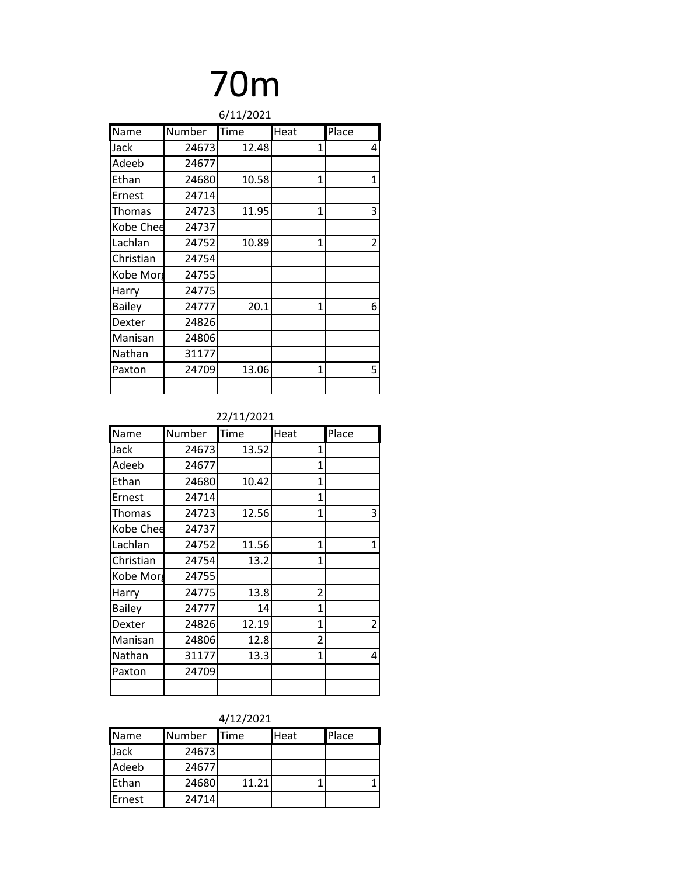# 70m

| 6/11/2021     |        |       |              |                |
|---------------|--------|-------|--------------|----------------|
| Name          | Number | Time  | Heat         | Place          |
| Jack          | 24673  | 12.48 | 1            | 4              |
| Adeeb         | 24677  |       |              |                |
| Ethan         | 24680  | 10.58 | $\mathbf{1}$ | $\mathbf{1}$   |
| Ernest        | 24714  |       |              |                |
| Thomas        | 24723  | 11.95 | 1            | 3              |
| Kobe Chee     | 24737  |       |              |                |
| Lachlan       | 24752  | 10.89 | $\mathbf{1}$ | $\overline{2}$ |
| Christian     | 24754  |       |              |                |
| Kobe Morg     | 24755  |       |              |                |
| Harry         | 24775  |       |              |                |
| <b>Bailey</b> | 24777  | 20.1  | 1            | 6              |
| Dexter        | 24826  |       |              |                |
| Manisan       | 24806  |       |              |                |
| Nathan        | 31177  |       |              |                |
| Paxton        | 24709  | 13.06 | 1            | 5              |
|               |        |       |              |                |

### 22/11/2021

| Name          | Number | Time  | Heat           | Place          |
|---------------|--------|-------|----------------|----------------|
| Jack          | 24673  | 13.52 | 1              |                |
| Adeeb         | 24677  |       | 1              |                |
| Ethan         | 24680  | 10.42 | 1              |                |
| Ernest        | 24714  |       | $\mathbf{1}$   |                |
| Thomas        | 24723  | 12.56 | 1              | 3              |
| Kobe Chee     | 24737  |       |                |                |
| Lachlan       | 24752  | 11.56 | 1              | $\mathbf{1}$   |
| Christian     | 24754  | 13.2  | $\mathbf{1}$   |                |
| Kobe Morg     | 24755  |       |                |                |
| Harry         | 24775  | 13.8  | $\overline{2}$ |                |
| <b>Bailey</b> | 24777  | 14    | 1              |                |
| Dexter        | 24826  | 12.19 | 1              | $\overline{2}$ |
| Manisan       | 24806  | 12.8  | 2              |                |
| Nathan        | 31177  | 13.3  | 1              | 4              |
| Paxton        | 24709  |       |                |                |
|               |        |       |                |                |

### 4/12/2021

| <b>Name</b> | <b>Number</b> | <b>Time</b> | <b>Heat</b> | Place |  |
|-------------|---------------|-------------|-------------|-------|--|
| Jack        | 24673         |             |             |       |  |
| Adeeb       | 24677         |             |             |       |  |
| Ethan       | 24680         | 11.21       |             |       |  |
| Ernest      | 24714         |             |             |       |  |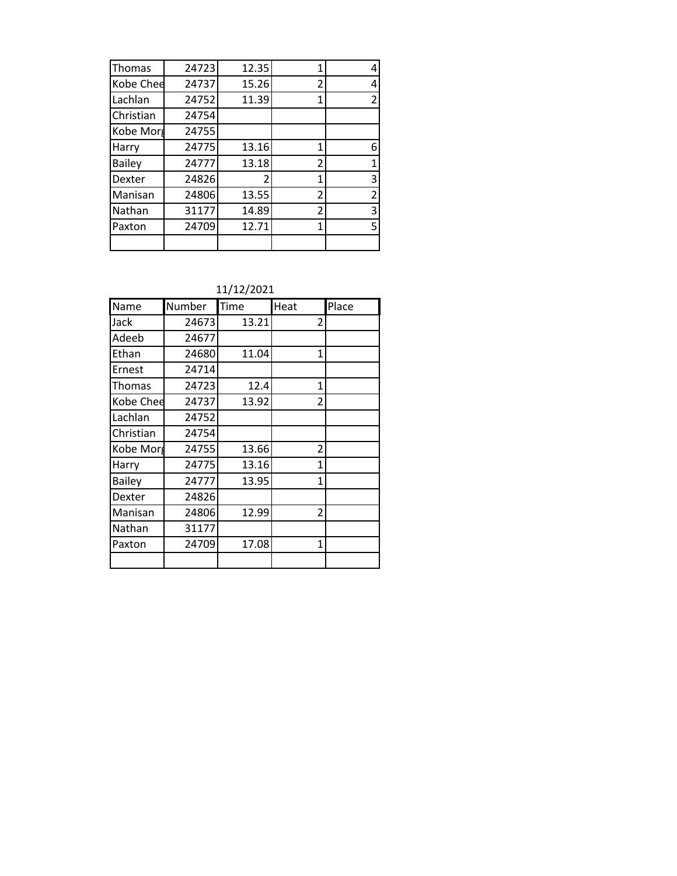| Thomas        | 24723 | 12.35          | 1              | 4 |
|---------------|-------|----------------|----------------|---|
| Kobe Chee     | 24737 | 15.26          | 2              | 4 |
| Lachlan       | 24752 | 11.39          | 1              | 2 |
| Christian     | 24754 |                |                |   |
| Kobe Morg     | 24755 |                |                |   |
| Harry         | 24775 | 13.16          | 1              | 6 |
| <b>Bailey</b> | 24777 | 13.18          | 2              | 1 |
| Dexter        | 24826 | $\overline{2}$ | $\overline{1}$ | 3 |
| Manisan       | 24806 | 13.55          | 2              | 2 |
| Nathan        | 31177 | 14.89          | 2              | 3 |
| Paxton        | 24709 | 12.71          | 1              | 5 |
|               |       |                |                |   |

11/12/2021

| Name          | Number | Time  | Heat           | Place |
|---------------|--------|-------|----------------|-------|
| Jack          | 24673  | 13.21 | 2              |       |
| Adeeb         | 24677  |       |                |       |
| Ethan         | 24680  | 11.04 | 1              |       |
| Ernest        | 24714  |       |                |       |
| Thomas        | 24723  | 12.4  | 1              |       |
| Kobe Chee     | 24737  | 13.92 | $\overline{2}$ |       |
| Lachlan       | 24752  |       |                |       |
| Christian     | 24754  |       |                |       |
| Kobe Morg     | 24755  | 13.66 | $\overline{2}$ |       |
| Harry         | 24775  | 13.16 | 1              |       |
| <b>Bailey</b> | 24777  | 13.95 | 1              |       |
| Dexter        | 24826  |       |                |       |
| Manisan       | 24806  | 12.99 | $\overline{2}$ |       |
| Nathan        | 31177  |       |                |       |
| Paxton        | 24709  | 17.08 | 1              |       |
|               |        |       |                |       |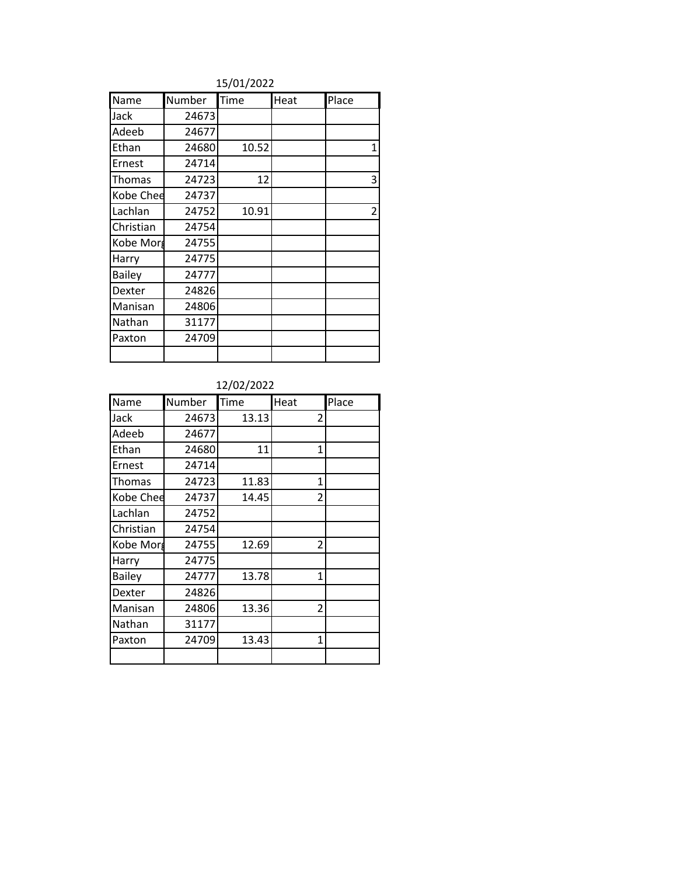### 15/01/2022

| Name          | Number | Time  | Heat | Place          |
|---------------|--------|-------|------|----------------|
| Jack          | 24673  |       |      |                |
| Adeeb         | 24677  |       |      |                |
| Ethan         | 24680  | 10.52 |      | 1              |
| Ernest        | 24714  |       |      |                |
| Thomas        | 24723  | 12    |      | 3              |
| Kobe Chee     | 24737  |       |      |                |
| Lachlan       | 24752  | 10.91 |      | $\overline{2}$ |
| Christian     | 24754  |       |      |                |
| Kobe Morg     | 24755  |       |      |                |
| Harry         | 24775  |       |      |                |
| <b>Bailey</b> | 24777  |       |      |                |
| Dexter        | 24826  |       |      |                |
| Manisan       | 24806  |       |      |                |
| Nathan        | 31177  |       |      |                |
| Paxton        | 24709  |       |      |                |
|               |        |       |      |                |

| Name          | Number | Time  | Heat         | Place |
|---------------|--------|-------|--------------|-------|
| Jack          | 24673  | 13.13 | 2            |       |
| Adeeb         | 24677  |       |              |       |
| Ethan         | 24680  | 11    | $\mathbf{1}$ |       |
| Ernest        | 24714  |       |              |       |
| Thomas        | 24723  | 11.83 | 1            |       |
| Kobe Chee     | 24737  | 14.45 | 2            |       |
| Lachlan       | 24752  |       |              |       |
| Christian     | 24754  |       |              |       |
| Kobe Morg     | 24755  | 12.69 | 2            |       |
| Harry         | 24775  |       |              |       |
| <b>Bailey</b> | 24777  | 13.78 | 1            |       |
| Dexter        | 24826  |       |              |       |
| Manisan       | 24806  | 13.36 | 2            |       |
| Nathan        | 31177  |       |              |       |
| Paxton        | 24709  | 13.43 | 1            |       |
|               |        |       |              |       |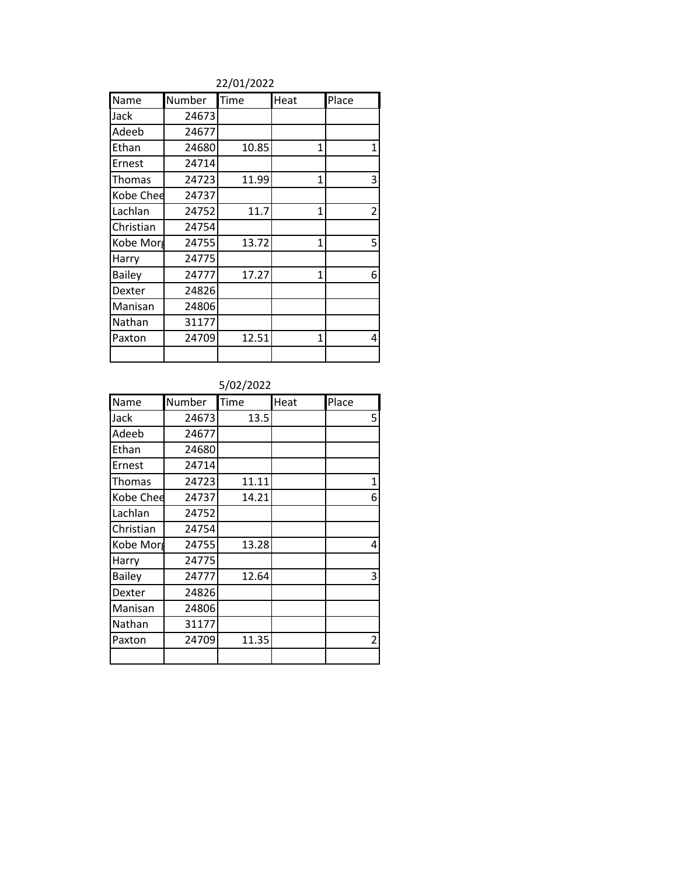### 22/01/2022

| Name          | Number | Time  | Heat | Place          |
|---------------|--------|-------|------|----------------|
| Jack          | 24673  |       |      |                |
| Adeeb         | 24677  |       |      |                |
| Ethan         | 24680  | 10.85 | 1    | $\mathbf{1}$   |
| Ernest        | 24714  |       |      |                |
| Thomas        | 24723  | 11.99 | 1    | 3              |
| Kobe Chee     | 24737  |       |      |                |
| Lachlan       | 24752  | 11.7  | 1    | $\overline{2}$ |
| Christian     | 24754  |       |      |                |
| Kobe Morg     | 24755  | 13.72 | 1    | 5              |
| Harry         | 24775  |       |      |                |
| <b>Bailey</b> | 24777  | 17.27 | 1    | 6              |
| Dexter        | 24826  |       |      |                |
| Manisan       | 24806  |       |      |                |
| Nathan        | 31177  |       |      |                |
| Paxton        | 24709  | 12.51 | 1    | 4              |
|               |        |       |      |                |

| Name          | Number | Time  | Heat | Place        |
|---------------|--------|-------|------|--------------|
| Jack          | 24673  | 13.5  |      | 5            |
| Adeeb         | 24677  |       |      |              |
| Ethan         | 24680  |       |      |              |
| Ernest        | 24714  |       |      |              |
| Thomas        | 24723  | 11.11 |      | $\mathbf{1}$ |
| Kobe Chee     | 24737  | 14.21 |      | 6            |
| Lachlan       | 24752  |       |      |              |
| Christian     | 24754  |       |      |              |
| Kobe Morg     | 24755  | 13.28 |      | 4            |
| Harry         | 24775  |       |      |              |
| <b>Bailey</b> | 24777  | 12.64 |      | 3            |
| Dexter        | 24826  |       |      |              |
| Manisan       | 24806  |       |      |              |
| Nathan        | 31177  |       |      |              |
| Paxton        | 24709  | 11.35 |      | 2            |
|               |        |       |      |              |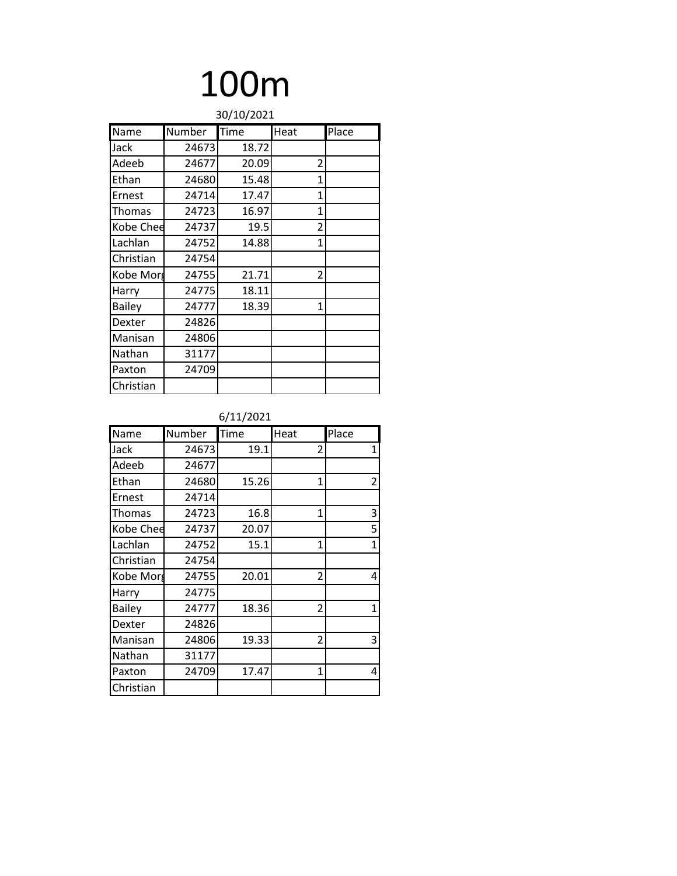# 100m

| 30/10/2021    |        |       |                |       |  |
|---------------|--------|-------|----------------|-------|--|
| Name          | Number | Time  | Heat           | Place |  |
| Jack          | 24673  | 18.72 |                |       |  |
| Adeeb         | 24677  | 20.09 | $\overline{2}$ |       |  |
| Ethan         | 24680  | 15.48 | $\mathbf{1}$   |       |  |
| Ernest        | 24714  | 17.47 | 1              |       |  |
| Thomas        | 24723  | 16.97 | 1              |       |  |
| Kobe Chee     | 24737  | 19.5  | 2              |       |  |
| Lachlan       | 24752  | 14.88 | 1              |       |  |
| Christian     | 24754  |       |                |       |  |
| Kobe Morg     | 24755  | 21.71 | 2              |       |  |
| Harry         | 24775  | 18.11 |                |       |  |
| <b>Bailey</b> | 24777  | 18.39 | $\mathbf{1}$   |       |  |
| Dexter        | 24826  |       |                |       |  |
| Manisan       | 24806  |       |                |       |  |
| Nathan        | 31177  |       |                |       |  |
| Paxton        | 24709  |       |                |       |  |
| Christian     |        |       |                |       |  |

| Name          | Number | Time  | Heat | Place          |
|---------------|--------|-------|------|----------------|
| Jack          | 24673  | 19.1  | 2    | 1              |
| Adeeb         | 24677  |       |      |                |
| Ethan         | 24680  | 15.26 | 1    | $\overline{2}$ |
| Ernest        | 24714  |       |      |                |
| Thomas        | 24723  | 16.8  | 1    | 3              |
| Kobe Chee     | 24737  | 20.07 |      | 5              |
| Lachlan       | 24752  | 15.1  | 1    | $\mathbf{1}$   |
| Christian     | 24754  |       |      |                |
| Kobe Morg     | 24755  | 20.01 | 2    | 4              |
| Harry         | 24775  |       |      |                |
| <b>Bailey</b> | 24777  | 18.36 | 2    | $\mathbf{1}$   |
| Dexter        | 24826  |       |      |                |
| Manisan       | 24806  | 19.33 | 2    | 3              |
| Nathan        | 31177  |       |      |                |
| Paxton        | 24709  | 17.47 | 1    | 4              |
| Christian     |        |       |      |                |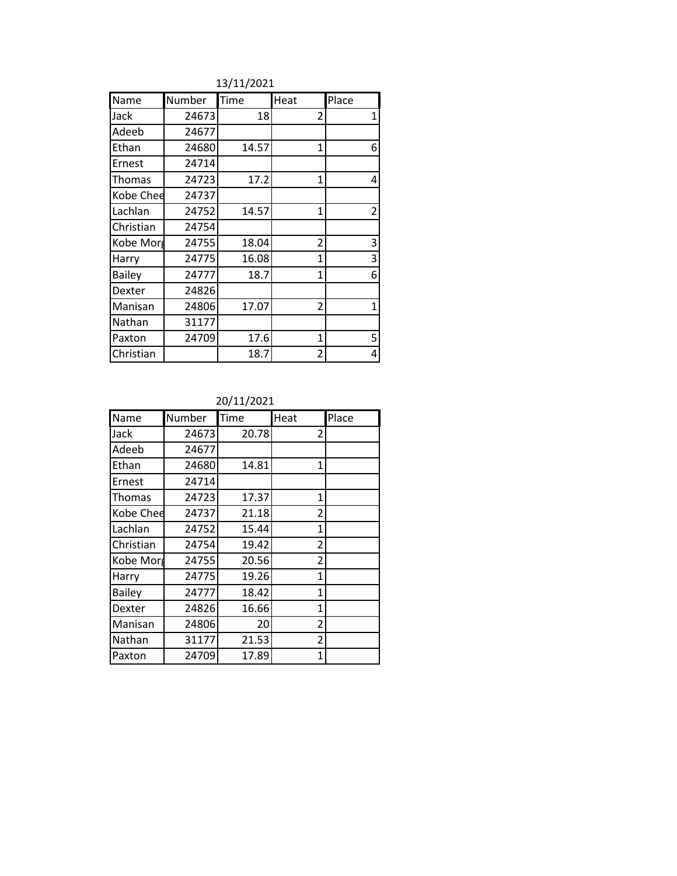13/11/2021

| Name          | Number | <b>Time</b> | Heat           | Place          |
|---------------|--------|-------------|----------------|----------------|
| Jack          | 24673  | 18          | $\overline{2}$ | 1              |
| Adeeb         | 24677  |             |                |                |
| Ethan         | 24680  | 14.57       | $\overline{1}$ | 6              |
| Ernest        | 24714  |             |                |                |
| Thomas        | 24723  | 17.2        | 1              | 4              |
| Kobe Chee     | 24737  |             |                |                |
| Lachlan       | 24752  | 14.57       | 1              | $\overline{2}$ |
| Christian     | 24754  |             |                |                |
| Kobe Morg     | 24755  | 18.04       | $\overline{2}$ | 3              |
| Harry         | 24775  | 16.08       | 1              | 3              |
| <b>Bailey</b> | 24777  | 18.7        | 1              | 6              |
| Dexter        | 24826  |             |                |                |
| Manisan       | 24806  | 17.07       | 2              | 1              |
| Nathan        | 31177  |             |                |                |
| Paxton        | 24709  | 17.6        | 1              | 5              |
| Christian     |        | 18.7        | 2              | 4              |

| Name          | Number | Time  | Heat           | Place |
|---------------|--------|-------|----------------|-------|
| Jack          | 24673  | 20.78 | 2              |       |
| Adeeb         | 24677  |       |                |       |
| Ethan         | 24680  | 14.81 | 1              |       |
| Ernest        | 24714  |       |                |       |
| Thomas        | 24723  | 17.37 | 1              |       |
| Kobe Chee     | 24737  | 21.18 | $\overline{2}$ |       |
| Lachlan       | 24752  | 15.44 | 1              |       |
| Christian     | 24754  | 19.42 | 2              |       |
| Kobe Morg     | 24755  | 20.56 | 2              |       |
| Harry         | 24775  | 19.26 | 1              |       |
| <b>Bailey</b> | 24777  | 18.42 | $\mathbf{1}$   |       |
| Dexter        | 24826  | 16.66 | 1              |       |
| Manisan       | 24806  | 20    | 2              |       |
| Nathan        | 31177  | 21.53 | $\overline{2}$ |       |
| Paxton        | 24709  | 17.89 | 1              |       |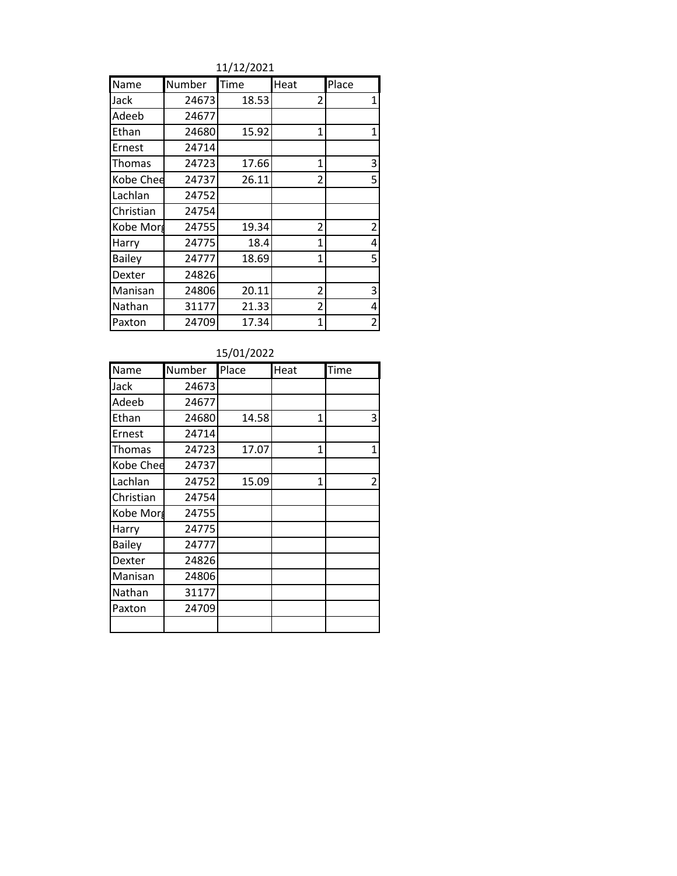11/12/2021

| Name          | Number | Time  | Heat           | Place          |
|---------------|--------|-------|----------------|----------------|
| Jack          | 24673  | 18.53 | 2              | 1              |
| Adeeb         | 24677  |       |                |                |
| Ethan         | 24680  | 15.92 | 1              | 1              |
| Ernest        | 24714  |       |                |                |
| Thomas        | 24723  | 17.66 | 1              | 3              |
| Kobe Chee     | 24737  | 26.11 | $\overline{2}$ | 5              |
| Lachlan       | 24752  |       |                |                |
| Christian     | 24754  |       |                |                |
| Kobe Morg     | 24755  | 19.34 | 2              | $\overline{2}$ |
| Harry         | 24775  | 18.4  | 1              | 4              |
| <b>Bailey</b> | 24777  | 18.69 | $\mathbf{1}$   | 5              |
| Dexter        | 24826  |       |                |                |
| Manisan       | 24806  | 20.11 | 2              | 3              |
| Nathan        | 31177  | 21.33 | $\overline{2}$ | 4              |
| Paxton        | 24709  | 17.34 | 1              | 2              |

| 15/01/2022 |  |
|------------|--|

| Name          | Number | Place | Heat | Time |
|---------------|--------|-------|------|------|
| Jack          | 24673  |       |      |      |
| Adeeb         | 24677  |       |      |      |
| Ethan         | 24680  | 14.58 | 1    | 3    |
| Ernest        | 24714  |       |      |      |
| Thomas        | 24723  | 17.07 | 1    | 1    |
| Kobe Chee     | 24737  |       |      |      |
| Lachlan       | 24752  | 15.09 | 1    | 2    |
| Christian     | 24754  |       |      |      |
| Kobe Morg     | 24755  |       |      |      |
| Harry         | 24775  |       |      |      |
| <b>Bailey</b> | 24777  |       |      |      |
| Dexter        | 24826  |       |      |      |
| Manisan       | 24806  |       |      |      |
| Nathan        | 31177  |       |      |      |
| Paxton        | 24709  |       |      |      |
|               |        |       |      |      |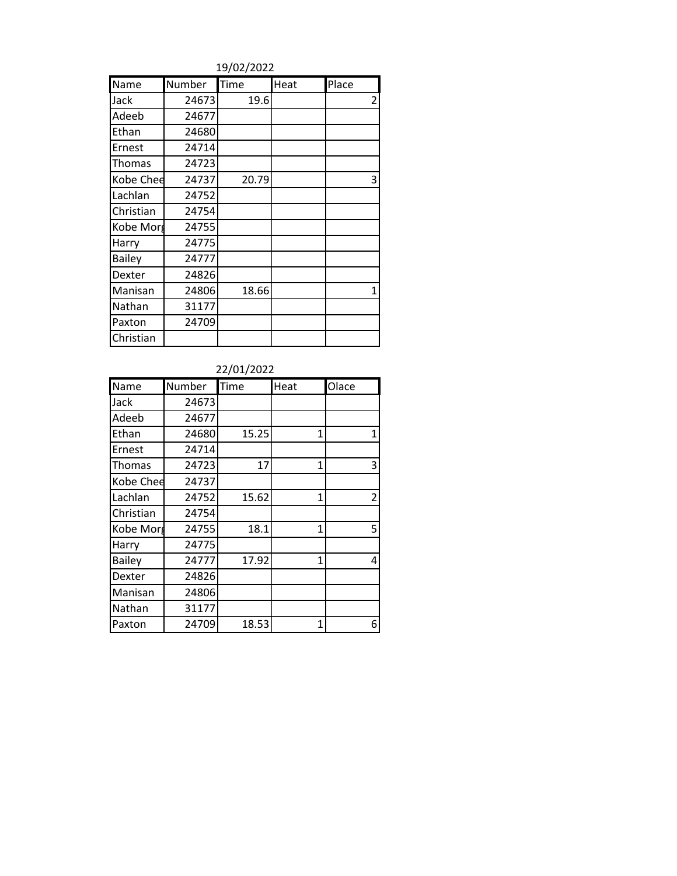19/02/2022

| Name          | Number | Time  | Heat | Place          |
|---------------|--------|-------|------|----------------|
| Jack          | 24673  | 19.6  |      | $\overline{2}$ |
| Adeeb         | 24677  |       |      |                |
| Ethan         | 24680  |       |      |                |
| Ernest        | 24714  |       |      |                |
| Thomas        | 24723  |       |      |                |
| Kobe Chee     | 24737  | 20.79 |      | 3              |
| Lachlan       | 24752  |       |      |                |
| Christian     | 24754  |       |      |                |
| Kobe Morg     | 24755  |       |      |                |
| Harry         | 24775  |       |      |                |
| <b>Bailey</b> | 24777  |       |      |                |
| Dexter        | 24826  |       |      |                |
| Manisan       | 24806  | 18.66 |      | 1              |
| Nathan        | 31177  |       |      |                |
| Paxton        | 24709  |       |      |                |
| Christian     |        |       |      |                |

22/01/2022

| Name          | Number | Time  | Heat | Olace          |
|---------------|--------|-------|------|----------------|
| Jack          | 24673  |       |      |                |
| Adeeb         | 24677  |       |      |                |
| Ethan         | 24680  | 15.25 | 1    | $\mathbf{1}$   |
| Ernest        | 24714  |       |      |                |
| Thomas        | 24723  | 17    | 1    | 3              |
| Kobe Chee     | 24737  |       |      |                |
| Lachlan       | 24752  | 15.62 | 1    | $\overline{2}$ |
| Christian     | 24754  |       |      |                |
| Kobe Morg     | 24755  | 18.1  | 1    | 5              |
| Harry         | 24775  |       |      |                |
| <b>Bailey</b> | 24777  | 17.92 | 1    | 4              |
| Dexter        | 24826  |       |      |                |
| Manisan       | 24806  |       |      |                |
| Nathan        | 31177  |       |      |                |
| Paxton        | 24709  | 18.53 | 1    | 6              |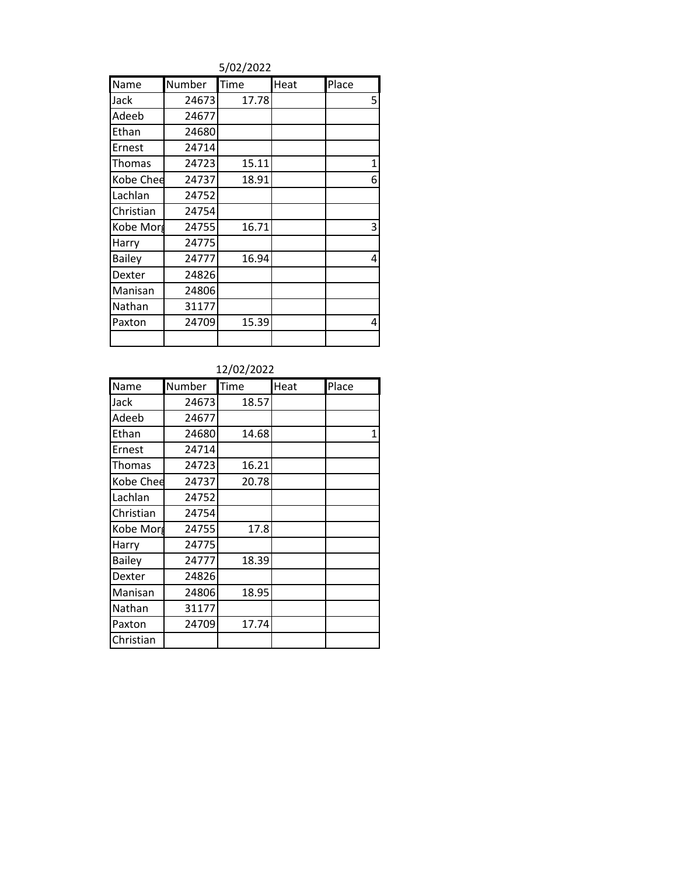5/02/2022

| Name          | Number | Time  | Heat | Place |
|---------------|--------|-------|------|-------|
| Jack          | 24673  | 17.78 |      | 5     |
| Adeeb         | 24677  |       |      |       |
| Ethan         | 24680  |       |      |       |
| Ernest        | 24714  |       |      |       |
| Thomas        | 24723  | 15.11 |      | 1     |
| Kobe Chee     | 24737  | 18.91 |      | 6     |
| Lachlan       | 24752  |       |      |       |
| Christian     | 24754  |       |      |       |
| Kobe Morg     | 24755  | 16.71 |      | 3     |
| Harry         | 24775  |       |      |       |
| <b>Bailey</b> | 24777  | 16.94 |      | 4     |
| Dexter        | 24826  |       |      |       |
| Manisan       | 24806  |       |      |       |
| Nathan        | 31177  |       |      |       |
| Paxton        | 24709  | 15.39 |      | 4     |
|               |        |       |      |       |

| Name          | Number | Time  | Heat | Place |
|---------------|--------|-------|------|-------|
| Jack          | 24673  | 18.57 |      |       |
| Adeeb         | 24677  |       |      |       |
| Ethan         | 24680  | 14.68 |      | 1     |
| Ernest        | 24714  |       |      |       |
| Thomas        | 24723  | 16.21 |      |       |
| Kobe Chee     | 24737  | 20.78 |      |       |
| Lachlan       | 24752  |       |      |       |
| Christian     | 24754  |       |      |       |
| Kobe Morg     | 24755  | 17.8  |      |       |
| Harry         | 24775  |       |      |       |
| <b>Bailey</b> | 24777  | 18.39 |      |       |
| Dexter        | 24826  |       |      |       |
| Manisan       | 24806  | 18.95 |      |       |
| Nathan        | 31177  |       |      |       |
| Paxton        | 24709  | 17.74 |      |       |
| Christian     |        |       |      |       |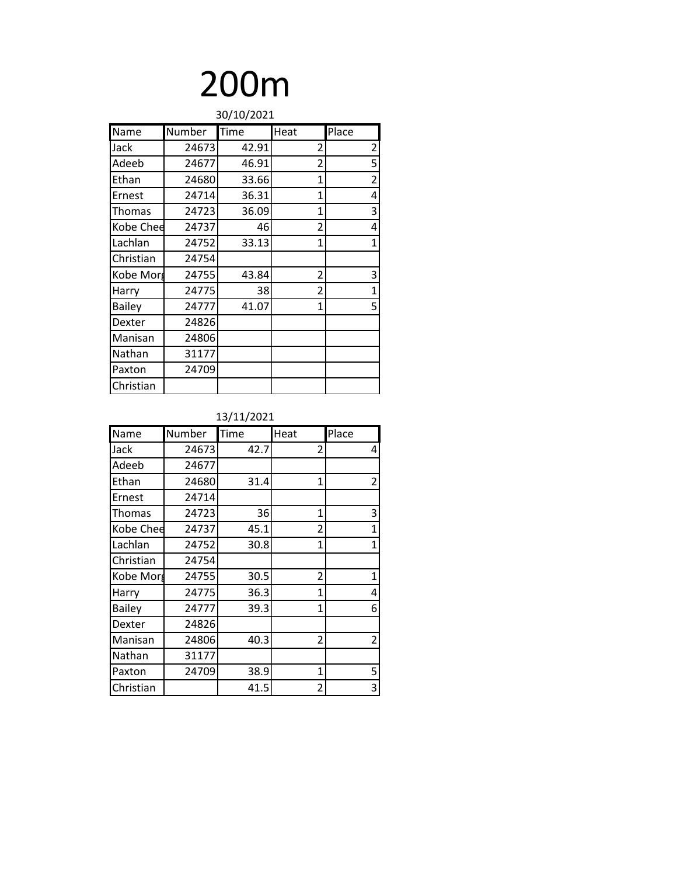## 200m

| 30/10/2021    |        |       |                |                |
|---------------|--------|-------|----------------|----------------|
| Name          | Number | Time  | Heat           | Place          |
| Jack          | 24673  | 42.91 | 2              | $\overline{2}$ |
| Adeeb         | 24677  | 46.91 | 2              | 5              |
| Ethan         | 24680  | 33.66 | $\mathbf{1}$   | $\overline{2}$ |
| Ernest        | 24714  | 36.31 | 1              | 4              |
| Thomas        | 24723  | 36.09 | 1              | 3              |
| Kobe Chee     | 24737  | 46    | 2              | 4              |
| Lachlan       | 24752  | 33.13 | 1              | $\mathbf{1}$   |
| Christian     | 24754  |       |                |                |
| Kobe Morg     | 24755  | 43.84 | 2              | 3              |
| Harry         | 24775  | 38    | $\overline{2}$ | $\mathbf{1}$   |
| <b>Bailey</b> | 24777  | 41.07 | 1              | 5              |
| Dexter        | 24826  |       |                |                |
| Manisan       | 24806  |       |                |                |
| Nathan        | 31177  |       |                |                |
| Paxton        | 24709  |       |                |                |
| Christian     |        |       |                |                |

| Name          | Number | Time | Heat           | Place          |
|---------------|--------|------|----------------|----------------|
| Jack          | 24673  | 42.7 | 2              | 4              |
| Adeeb         | 24677  |      |                |                |
| Ethan         | 24680  | 31.4 | 1              | $\overline{2}$ |
| Ernest        | 24714  |      |                |                |
| Thomas        | 24723  | 36   | 1              | 3              |
| Kobe Chee     | 24737  | 45.1 | $\overline{2}$ | 1              |
| Lachlan       | 24752  | 30.8 | $\overline{1}$ | $\mathbf{1}$   |
| Christian     | 24754  |      |                |                |
| Kobe Morg     | 24755  | 30.5 | $\overline{2}$ | $\mathbf{1}$   |
| Harry         | 24775  | 36.3 | 1              | 4              |
| <b>Bailey</b> | 24777  | 39.3 | 1              | 6              |
| Dexter        | 24826  |      |                |                |
| Manisan       | 24806  | 40.3 | 2              | $\overline{2}$ |
| Nathan        | 31177  |      |                |                |
| Paxton        | 24709  | 38.9 | 1              | 5              |
| Christian     |        | 41.5 | $\overline{2}$ | 3              |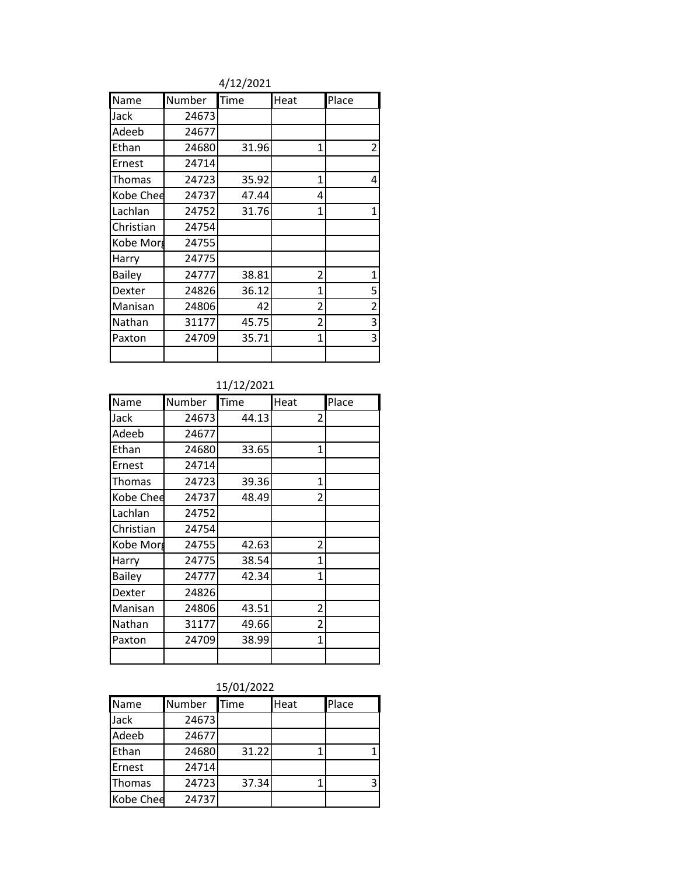4/12/2021

| Name          | Number | Time  | Heat           | Place          |
|---------------|--------|-------|----------------|----------------|
| Jack          | 24673  |       |                |                |
| Adeeb         | 24677  |       |                |                |
| Ethan         | 24680  | 31.96 | 1              | $\overline{2}$ |
| Ernest        | 24714  |       |                |                |
| Thomas        | 24723  | 35.92 | 1              | 4              |
| Kobe Chee     | 24737  | 47.44 | 4              |                |
| Lachlan       | 24752  | 31.76 | 1              | $\mathbf{1}$   |
| Christian     | 24754  |       |                |                |
| Kobe Morg     | 24755  |       |                |                |
| Harry         | 24775  |       |                |                |
| <b>Bailey</b> | 24777  | 38.81 | $\overline{2}$ | $\mathbf{1}$   |
| Dexter        | 24826  | 36.12 | 1              | 5              |
| Manisan       | 24806  | 42    | $\overline{2}$ | $\overline{2}$ |
| Nathan        | 31177  | 45.75 | 2              | 3              |
| Paxton        | 24709  | 35.71 | $\mathbf{1}$   | 3              |
|               |        |       |                |                |

### 11/12/2021

| Name          | Number | Time  | Heat           | Place |
|---------------|--------|-------|----------------|-------|
| Jack          | 24673  | 44.13 | 2              |       |
| Adeeb         | 24677  |       |                |       |
| Ethan         | 24680  | 33.65 | 1              |       |
| Ernest        | 24714  |       |                |       |
| Thomas        | 24723  | 39.36 | 1              |       |
| Kobe Chee     | 24737  | 48.49 | $\overline{2}$ |       |
| Lachlan       | 24752  |       |                |       |
| Christian     | 24754  |       |                |       |
| Kobe Morg     | 24755  | 42.63 | 2              |       |
| Harry         | 24775  | 38.54 | 1              |       |
| <b>Bailey</b> | 24777  | 42.34 | 1              |       |
| Dexter        | 24826  |       |                |       |
| Manisan       | 24806  | 43.51 | $\overline{2}$ |       |
| Nathan        | 31177  | 49.66 | 2              |       |
| Paxton        | 24709  | 38.99 | 1              |       |
|               |        |       |                |       |

### 15/01/2022

| Name      | Number | Time  | Heat | Place |
|-----------|--------|-------|------|-------|
| Jack      | 24673  |       |      |       |
| Adeeb     | 24677  |       |      |       |
| Ethan     | 24680  | 31.22 |      |       |
| Ernest    | 24714  |       |      |       |
| Thomas    | 24723  | 37.34 |      | 3     |
| Kobe Chee | 24737  |       |      |       |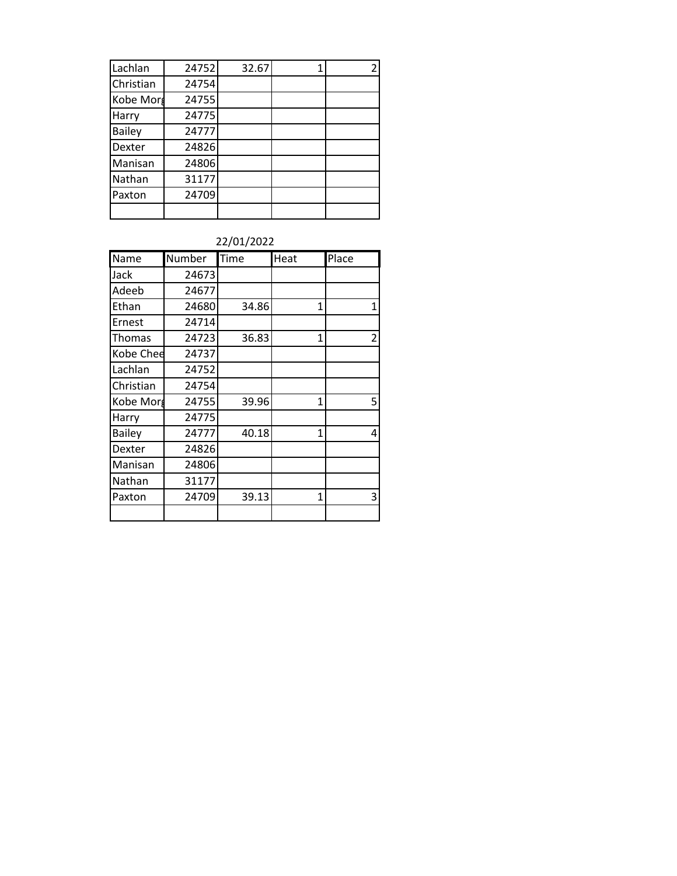| Lachlan       | 24752 | 32.67 |  |
|---------------|-------|-------|--|
| Christian     | 24754 |       |  |
| Kobe Morg     | 24755 |       |  |
| Harry         | 24775 |       |  |
| <b>Bailey</b> | 24777 |       |  |
| Dexter        | 24826 |       |  |
| Manisan       | 24806 |       |  |
| Nathan        | 31177 |       |  |
| Paxton        | 24709 |       |  |
|               |       |       |  |

### 22/01/2022

| Name          | Number | Time  | Heat         | Place          |
|---------------|--------|-------|--------------|----------------|
| Jack          | 24673  |       |              |                |
| Adeeb         | 24677  |       |              |                |
| Ethan         | 24680  | 34.86 | 1            | 1              |
| Ernest        | 24714  |       |              |                |
| Thomas        | 24723  | 36.83 | 1            | $\overline{c}$ |
| Kobe Chee     | 24737  |       |              |                |
| Lachlan       | 24752  |       |              |                |
| Christian     | 24754  |       |              |                |
| Kobe Morg     | 24755  | 39.96 | 1            | 5              |
| Harry         | 24775  |       |              |                |
| <b>Bailey</b> | 24777  | 40.18 | $\mathbf{1}$ | 4              |
| Dexter        | 24826  |       |              |                |
| Manisan       | 24806  |       |              |                |
| Nathan        | 31177  |       |              |                |
| Paxton        | 24709  | 39.13 | 1            | 3              |
|               |        |       |              |                |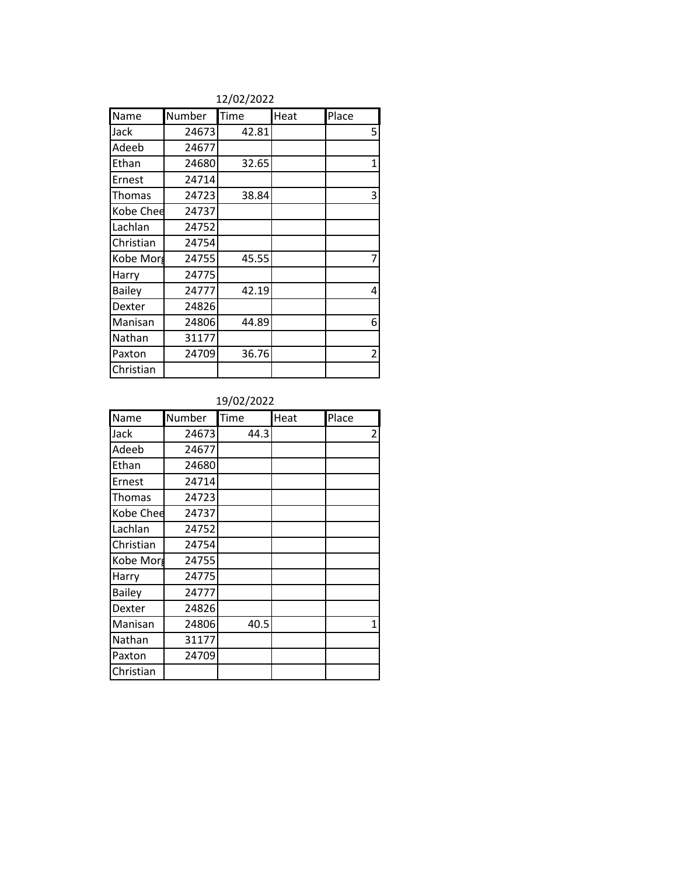|               | 14/04/4044 |       |      |                |  |
|---------------|------------|-------|------|----------------|--|
| Name          | Number     | Time  | Heat | Place          |  |
| Jack          | 24673      | 42.81 |      | 5              |  |
| Adeeb         | 24677      |       |      |                |  |
| Ethan         | 24680      | 32.65 |      | $\mathbf{1}$   |  |
| Ernest        | 24714      |       |      |                |  |
| Thomas        | 24723      | 38.84 |      | 3              |  |
| Kobe Chee     | 24737      |       |      |                |  |
| Lachlan       | 24752      |       |      |                |  |
| Christian     | 24754      |       |      |                |  |
| Kobe Morg     | 24755      | 45.55 |      | 7              |  |
| Harry         | 24775      |       |      |                |  |
| <b>Bailey</b> | 24777      | 42.19 |      | 4              |  |
| Dexter        | 24826      |       |      |                |  |
| Manisan       | 24806      | 44.89 |      | 6              |  |
| Nathan        | 31177      |       |      |                |  |
| Paxton        | 24709      | 36.76 |      | $\overline{2}$ |  |
| Christian     |            |       |      |                |  |

#### 12/02/2022

| Name          | Number | Time | Heat | Place |
|---------------|--------|------|------|-------|
| Jack          | 24673  | 44.3 |      | 2     |
| Adeeb         | 24677  |      |      |       |
| Ethan         | 24680  |      |      |       |
| Ernest        | 24714  |      |      |       |
| Thomas        | 24723  |      |      |       |
| Kobe Chee     | 24737  |      |      |       |
| Lachlan       | 24752  |      |      |       |
| Christian     | 24754  |      |      |       |
| Kobe Morg     | 24755  |      |      |       |
| Harry         | 24775  |      |      |       |
| <b>Bailey</b> | 24777  |      |      |       |
| Dexter        | 24826  |      |      |       |
| Manisan       | 24806  | 40.5 |      | 1     |
| Nathan        | 31177  |      |      |       |
| Paxton        | 24709  |      |      |       |
| Christian     |        |      |      |       |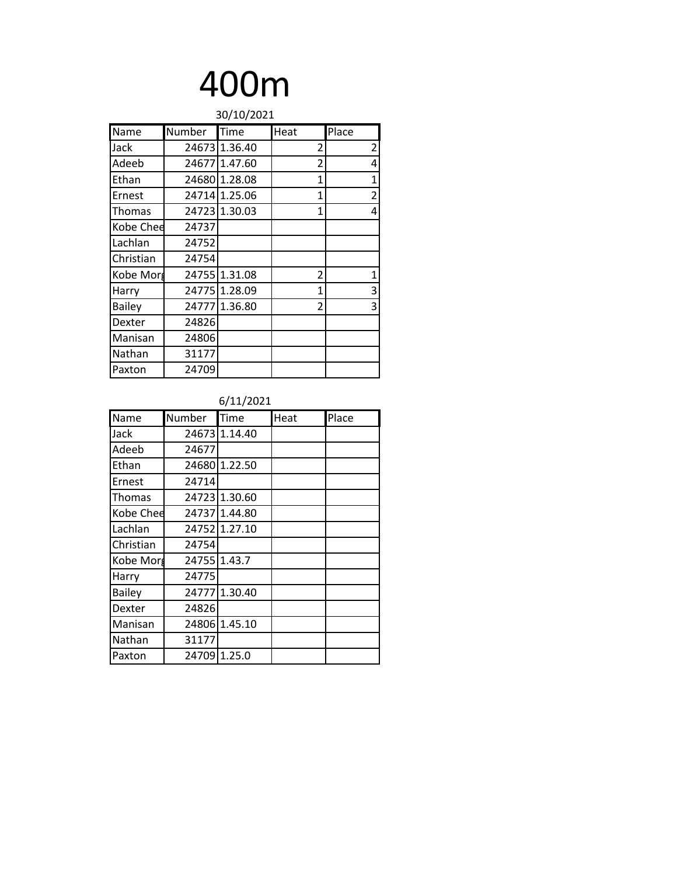### 400m

| 30/10/2021    |        |               |                |                |
|---------------|--------|---------------|----------------|----------------|
| Name          | Number | Time          | Heat           | Place          |
| Jack          |        | 24673 1.36.40 | 2              | 2              |
| Adeeb         |        | 24677 1.47.60 | 2              | 4              |
| Ethan         |        | 24680 1.28.08 | 1              | 1              |
| Ernest        |        | 24714 1.25.06 | 1              | $\overline{2}$ |
| Thomas        |        | 24723 1.30.03 | $\overline{1}$ | 4              |
| Kobe Chee     | 24737  |               |                |                |
| Lachlan       | 24752  |               |                |                |
| Christian     | 24754  |               |                |                |
| Kobe Morg     |        | 24755 1.31.08 | 2              | 1              |
| Harry         |        | 24775 1.28.09 | 1              | 3              |
| <b>Bailey</b> |        | 24777 1.36.80 | 2              | 3              |
| Dexter        | 24826  |               |                |                |
| Manisan       | 24806  |               |                |                |
| Nathan        | 31177  |               |                |                |
| Paxton        | 24709  |               |                |                |

| Name          | Number | Time          | Heat | Place |
|---------------|--------|---------------|------|-------|
| Jack          |        | 24673 1.14.40 |      |       |
| Adeeb         | 24677  |               |      |       |
| Ethan         |        | 24680 1.22.50 |      |       |
| Ernest        | 24714  |               |      |       |
| Thomas        |        | 24723 1.30.60 |      |       |
| Kobe Chee     |        | 24737 1.44.80 |      |       |
| Lachlan       |        | 24752 1.27.10 |      |       |
| Christian     | 24754  |               |      |       |
| Kobe Morg     | 24755  | 1.43.7        |      |       |
| Harry         | 24775  |               |      |       |
| <b>Bailey</b> |        | 24777 1.30.40 |      |       |
| Dexter        | 24826  |               |      |       |
| Manisan       | 24806  | 1.45.10       |      |       |
| Nathan        | 31177  |               |      |       |
| Paxton        |        | 24709 1.25.0  |      |       |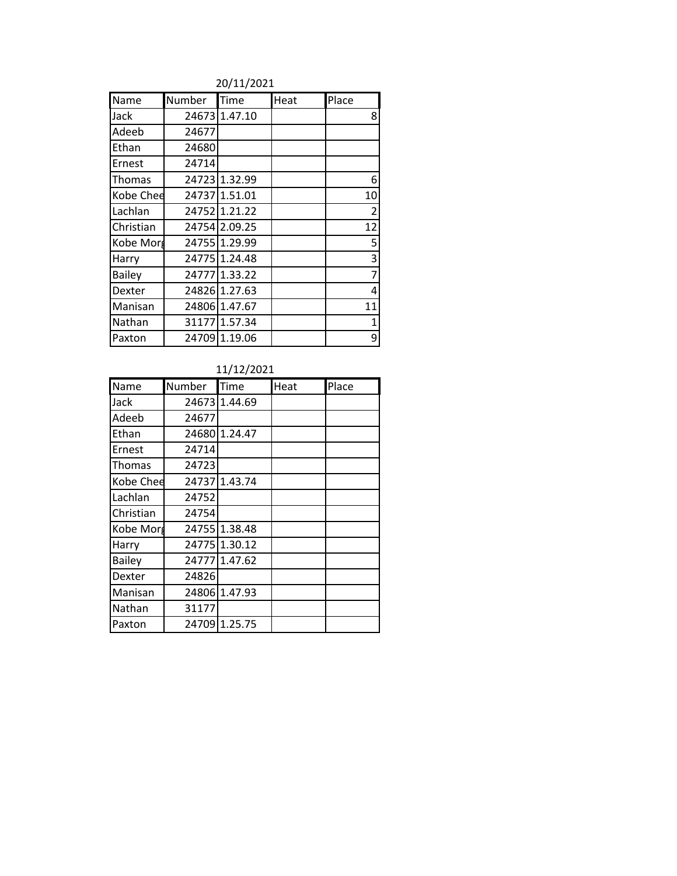### 20/11/2021

| Name          | Number | Time          | Heat | Place          |
|---------------|--------|---------------|------|----------------|
| Jack          |        | 24673 1.47.10 |      | 8              |
| Adeeb         | 24677  |               |      |                |
| Ethan         | 24680  |               |      |                |
| Ernest        | 24714  |               |      |                |
| Thomas        |        | 24723 1.32.99 |      | 6              |
| Kobe Chee     |        | 24737 1.51.01 |      | 10             |
| Lachlan       |        | 24752 1.21.22 |      | $\overline{2}$ |
| Christian     |        | 24754 2.09.25 |      | 12             |
| Kobe Morg     |        | 24755 1.29.99 |      | 5              |
| Harry         |        | 24775 1.24.48 |      | 3              |
| <b>Bailey</b> |        | 24777 1.33.22 |      | 7              |
| Dexter        |        | 24826 1.27.63 |      | 4              |
| Manisan       |        | 24806 1.47.67 |      | 11             |
| Nathan        |        | 31177 1.57.34 |      | 1              |
| Paxton        |        | 24709 1.19.06 |      | 9              |

### 11/12/2021

| Name          | Number | Time          | Heat | Place |
|---------------|--------|---------------|------|-------|
| Jack          |        | 24673 1.44.69 |      |       |
| Adeeb         | 24677  |               |      |       |
| Ethan         | 24680  | 1.24.47       |      |       |
| Ernest        | 24714  |               |      |       |
| Thomas        | 24723  |               |      |       |
| Kobe Chee     | 24737  | 1.43.74       |      |       |
| Lachlan       | 24752  |               |      |       |
| Christian     | 24754  |               |      |       |
| Kobe Morg     | 24755  | 1.38.48       |      |       |
| Harry         |        | 24775 1.30.12 |      |       |
| <b>Bailey</b> | 24777  | 1.47.62       |      |       |
| Dexter        | 24826  |               |      |       |
| Manisan       | 24806  | 1.47.93       |      |       |
| Nathan        | 31177  |               |      |       |
| Paxton        | 24709  | 1.25.75       |      |       |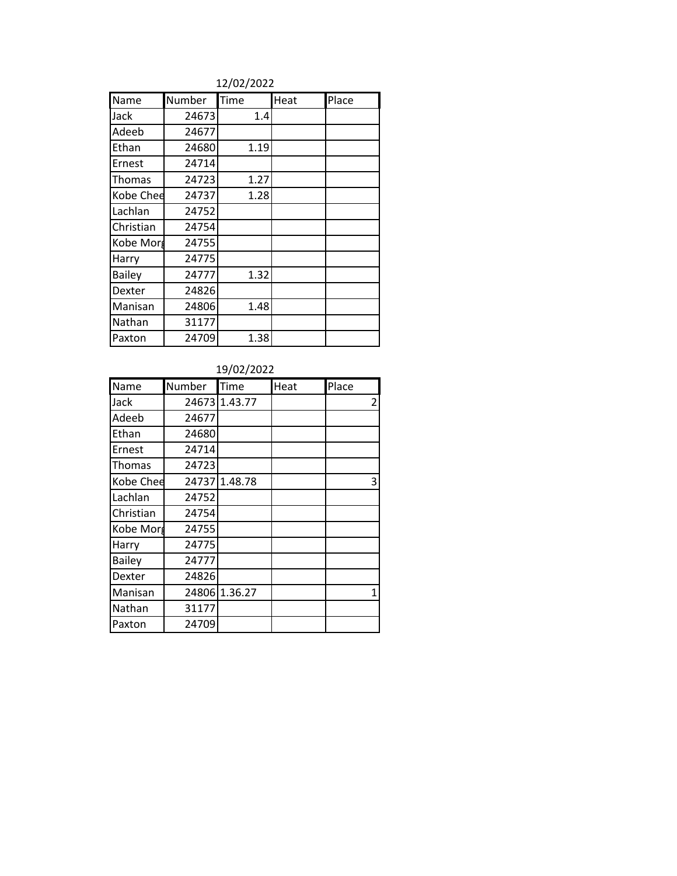### 12/02/2022

| Name          | Number | Time | Heat | Place |
|---------------|--------|------|------|-------|
| Jack          | 24673  | 1.4  |      |       |
| Adeeb         | 24677  |      |      |       |
| Ethan         | 24680  | 1.19 |      |       |
| Ernest        | 24714  |      |      |       |
| Thomas        | 24723  | 1.27 |      |       |
| Kobe Chee     | 24737  | 1.28 |      |       |
| Lachlan       | 24752  |      |      |       |
| Christian     | 24754  |      |      |       |
| Kobe Morg     | 24755  |      |      |       |
| Harry         | 24775  |      |      |       |
| <b>Bailey</b> | 24777  | 1.32 |      |       |
| Dexter        | 24826  |      |      |       |
| Manisan       | 24806  | 1.48 |      |       |
| Nathan        | 31177  |      |      |       |
| Paxton        | 24709  | 1.38 |      |       |

| Name          | Number | Time    | Heat | Place          |
|---------------|--------|---------|------|----------------|
| Jack          | 24673  | 1.43.77 |      | $\overline{c}$ |
| Adeeb         | 24677  |         |      |                |
| Ethan         | 24680  |         |      |                |
| Ernest        | 24714  |         |      |                |
| Thomas        | 24723  |         |      |                |
| Kobe Chee     | 24737  | 1.48.78 |      | 3              |
| Lachlan       | 24752  |         |      |                |
| Christian     | 24754  |         |      |                |
| Kobe Morg     | 24755  |         |      |                |
| Harry         | 24775  |         |      |                |
| <b>Bailey</b> | 24777  |         |      |                |
| Dexter        | 24826  |         |      |                |
| Manisan       | 24806  | 1.36.27 |      | 1              |
| Nathan        | 31177  |         |      |                |
| Paxton        | 24709  |         |      |                |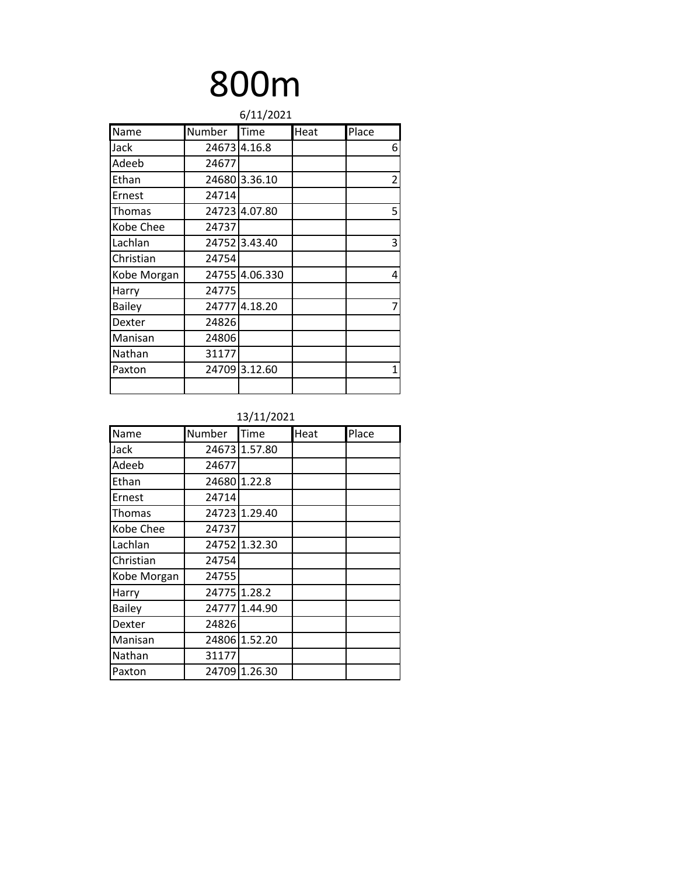# 800m

| 6/11/2021     |        |                |      |                |  |
|---------------|--------|----------------|------|----------------|--|
| Name          | Number | <b>Time</b>    | Heat | Place          |  |
| Jack          | 24673  | 4.16.8         |      | 6              |  |
| Adeeb         | 24677  |                |      |                |  |
| Ethan         | 24680  | 3.36.10        |      | $\overline{2}$ |  |
| Ernest        | 24714  |                |      |                |  |
| Thomas        |        | 24723 4.07.80  |      | 5              |  |
| Kobe Chee     | 24737  |                |      |                |  |
| Lachlan       | 24752  | 3.43.40        |      | 3              |  |
| Christian     | 24754  |                |      |                |  |
| Kobe Morgan   |        | 24755 4.06.330 |      | 4              |  |
| Harry         | 24775  |                |      |                |  |
| <b>Bailey</b> | 24777  | 4.18.20        |      | 7              |  |
| Dexter        | 24826  |                |      |                |  |
| Manisan       | 24806  |                |      |                |  |
| Nathan        | 31177  |                |      |                |  |
| Paxton        | 24709  | 3.12.60        |      | 1              |  |
|               |        |                |      |                |  |

| Name          | Number | Time          | Heat | Place |
|---------------|--------|---------------|------|-------|
| Jack          |        | 24673 1.57.80 |      |       |
| Adeeb         | 24677  |               |      |       |
| Ethan         |        | 24680 1.22.8  |      |       |
| Ernest        | 24714  |               |      |       |
| Thomas        |        | 24723 1.29.40 |      |       |
| Kobe Chee     | 24737  |               |      |       |
| Lachlan       |        | 24752 1.32.30 |      |       |
| Christian     | 24754  |               |      |       |
| Kobe Morgan   | 24755  |               |      |       |
| Harry         |        | 24775 1.28.2  |      |       |
| <b>Bailey</b> | 24777  | 1.44.90       |      |       |
| Dexter        | 24826  |               |      |       |
| Manisan       |        | 24806 1.52.20 |      |       |
| Nathan        | 31177  |               |      |       |
| Paxton        | 24709  | 1.26.30       |      |       |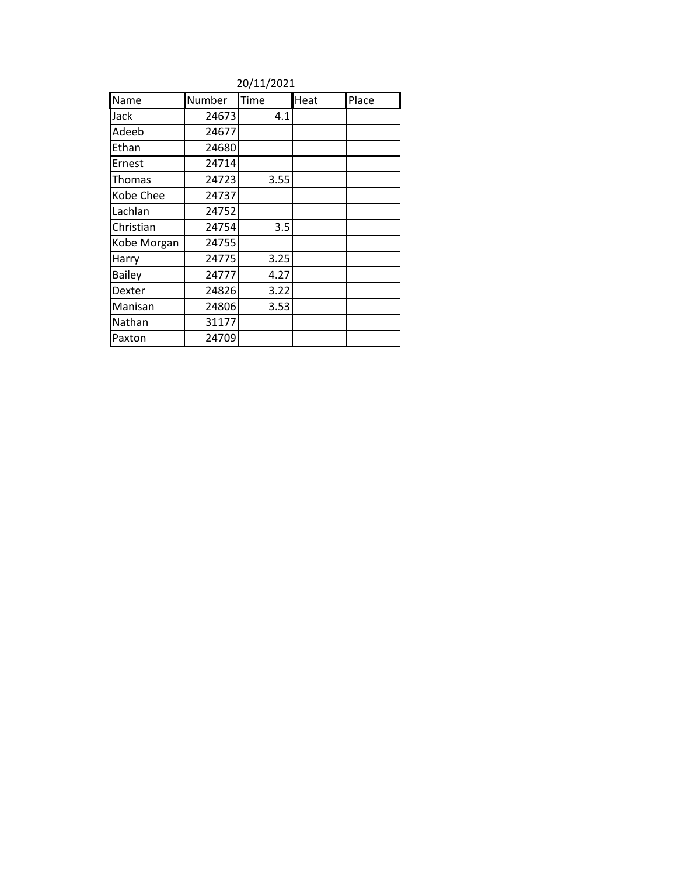|               |        | 20/11/2021 |      |       |
|---------------|--------|------------|------|-------|
| Name          | Number | Time       | Heat | Place |
| Jack          | 24673  | 4.1        |      |       |
| Adeeb         | 24677  |            |      |       |
| Ethan         | 24680  |            |      |       |
| Ernest        | 24714  |            |      |       |
| Thomas        | 24723  | 3.55       |      |       |
| Kobe Chee     | 24737  |            |      |       |
| Lachlan       | 24752  |            |      |       |
| Christian     | 24754  | 3.5        |      |       |
| Kobe Morgan   | 24755  |            |      |       |
| Harry         | 24775  | 3.25       |      |       |
| <b>Bailey</b> | 24777  | 4.27       |      |       |
| Dexter        | 24826  | 3.22       |      |       |
| Manisan       | 24806  | 3.53       |      |       |
| Nathan        | 31177  |            |      |       |
| Paxton        | 24709  |            |      |       |

20/11/2021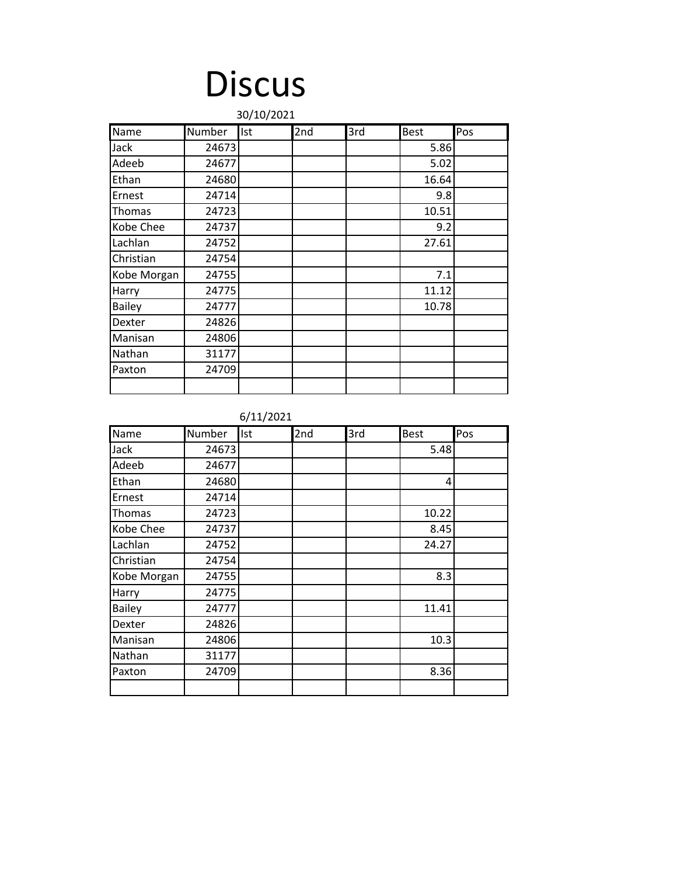## **Discus**

|               | 30/10/2021 |     |     |     |             |     |
|---------------|------------|-----|-----|-----|-------------|-----|
| Name          | Number     | Ist | 2nd | 3rd | <b>Best</b> | Pos |
| Jack          | 24673      |     |     |     | 5.86        |     |
| Adeeb         | 24677      |     |     |     | 5.02        |     |
| Ethan         | 24680      |     |     |     | 16.64       |     |
| Ernest        | 24714      |     |     |     | 9.8         |     |
| Thomas        | 24723      |     |     |     | 10.51       |     |
| Kobe Chee     | 24737      |     |     |     | 9.2         |     |
| Lachlan       | 24752      |     |     |     | 27.61       |     |
| Christian     | 24754      |     |     |     |             |     |
| Kobe Morgan   | 24755      |     |     |     | 7.1         |     |
| Harry         | 24775      |     |     |     | 11.12       |     |
| <b>Bailey</b> | 24777      |     |     |     | 10.78       |     |
| Dexter        | 24826      |     |     |     |             |     |
| Manisan       | 24806      |     |     |     |             |     |
| Nathan        | 31177      |     |     |     |             |     |
| Paxton        | 24709      |     |     |     |             |     |
|               |            |     |     |     |             |     |

6/11/2021

| Name          | Number | Ist | 2nd | 3rd | <b>Best</b> | Pos |
|---------------|--------|-----|-----|-----|-------------|-----|
| Jack          | 24673  |     |     |     | 5.48        |     |
| Adeeb         | 24677  |     |     |     |             |     |
| Ethan         | 24680  |     |     |     | 4           |     |
| Ernest        | 24714  |     |     |     |             |     |
| Thomas        | 24723  |     |     |     | 10.22       |     |
| Kobe Chee     | 24737  |     |     |     | 8.45        |     |
| Lachlan       | 24752  |     |     |     | 24.27       |     |
| Christian     | 24754  |     |     |     |             |     |
| Kobe Morgan   | 24755  |     |     |     | 8.3         |     |
| Harry         | 24775  |     |     |     |             |     |
| <b>Bailey</b> | 24777  |     |     |     | 11.41       |     |
| Dexter        | 24826  |     |     |     |             |     |
| Manisan       | 24806  |     |     |     | 10.3        |     |
| Nathan        | 31177  |     |     |     |             |     |
| Paxton        | 24709  |     |     |     | 8.36        |     |
|               |        |     |     |     |             |     |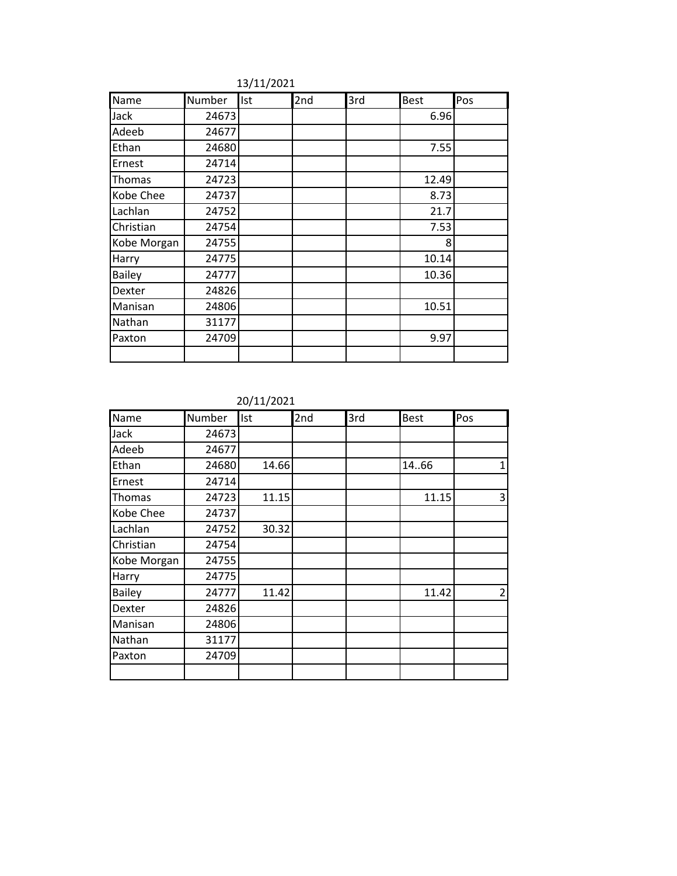| Name          | Number | Ist | 2nd | 3rd | <b>Best</b> | Pos |
|---------------|--------|-----|-----|-----|-------------|-----|
| Jack          | 24673  |     |     |     | 6.96        |     |
| Adeeb         | 24677  |     |     |     |             |     |
| Ethan         | 24680  |     |     |     | 7.55        |     |
| Ernest        | 24714  |     |     |     |             |     |
| Thomas        | 24723  |     |     |     | 12.49       |     |
| Kobe Chee     | 24737  |     |     |     | 8.73        |     |
| Lachlan       | 24752  |     |     |     | 21.7        |     |
| Christian     | 24754  |     |     |     | 7.53        |     |
| Kobe Morgan   | 24755  |     |     |     | 8           |     |
| Harry         | 24775  |     |     |     | 10.14       |     |
| <b>Bailey</b> | 24777  |     |     |     | 10.36       |     |
| Dexter        | 24826  |     |     |     |             |     |
| Manisan       | 24806  |     |     |     | 10.51       |     |
| Nathan        | 31177  |     |     |     |             |     |
| Paxton        | 24709  |     |     |     | 9.97        |     |
|               |        |     |     |     |             |     |

13/11/2021

20/11/2021

| Name          | Number | Ist   | 2nd | 3rd | <b>Best</b> | Pos            |
|---------------|--------|-------|-----|-----|-------------|----------------|
| Jack          | 24673  |       |     |     |             |                |
| Adeeb         | 24677  |       |     |     |             |                |
| Ethan         | 24680  | 14.66 |     |     | 14.66       | 1              |
| Ernest        | 24714  |       |     |     |             |                |
| Thomas        | 24723  | 11.15 |     |     | 11.15       | 3              |
| Kobe Chee     | 24737  |       |     |     |             |                |
| Lachlan       | 24752  | 30.32 |     |     |             |                |
| Christian     | 24754  |       |     |     |             |                |
| Kobe Morgan   | 24755  |       |     |     |             |                |
| Harry         | 24775  |       |     |     |             |                |
| <b>Bailey</b> | 24777  | 11.42 |     |     | 11.42       | $\overline{2}$ |
| Dexter        | 24826  |       |     |     |             |                |
| Manisan       | 24806  |       |     |     |             |                |
| Nathan        | 31177  |       |     |     |             |                |
| Paxton        | 24709  |       |     |     |             |                |
|               |        |       |     |     |             |                |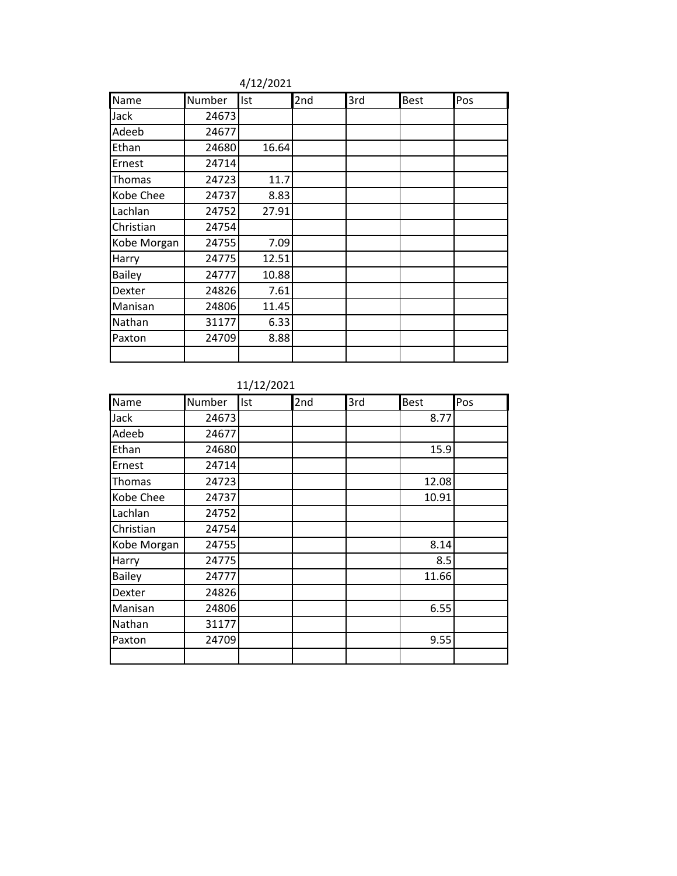| Name          | Number | Ist   | 2nd | 3rd | <b>Best</b> | Pos |
|---------------|--------|-------|-----|-----|-------------|-----|
| Jack          | 24673  |       |     |     |             |     |
| Adeeb         | 24677  |       |     |     |             |     |
| Ethan         | 24680  | 16.64 |     |     |             |     |
| Ernest        | 24714  |       |     |     |             |     |
| Thomas        | 24723  | 11.7  |     |     |             |     |
| Kobe Chee     | 24737  | 8.83  |     |     |             |     |
| Lachlan       | 24752  | 27.91 |     |     |             |     |
| Christian     | 24754  |       |     |     |             |     |
| Kobe Morgan   | 24755  | 7.09  |     |     |             |     |
| Harry         | 24775  | 12.51 |     |     |             |     |
| <b>Bailey</b> | 24777  | 10.88 |     |     |             |     |
| Dexter        | 24826  | 7.61  |     |     |             |     |
| Manisan       | 24806  | 11.45 |     |     |             |     |
| Nathan        | 31177  | 6.33  |     |     |             |     |
| Paxton        | 24709  | 8.88  |     |     |             |     |
|               |        |       |     |     |             |     |

4/12/2021

### 11/12/2021

| Name        | Number | Ist | 2nd | 3rd | <b>Best</b> | Pos |
|-------------|--------|-----|-----|-----|-------------|-----|
| Jack        | 24673  |     |     |     | 8.77        |     |
| Adeeb       | 24677  |     |     |     |             |     |
| Ethan       | 24680  |     |     |     | 15.9        |     |
| Ernest      | 24714  |     |     |     |             |     |
| Thomas      | 24723  |     |     |     | 12.08       |     |
| Kobe Chee   | 24737  |     |     |     | 10.91       |     |
| Lachlan     | 24752  |     |     |     |             |     |
| Christian   | 24754  |     |     |     |             |     |
| Kobe Morgan | 24755  |     |     |     | 8.14        |     |
| Harry       | 24775  |     |     |     | 8.5         |     |
| Bailey      | 24777  |     |     |     | 11.66       |     |
| Dexter      | 24826  |     |     |     |             |     |
| Manisan     | 24806  |     |     |     | 6.55        |     |
| Nathan      | 31177  |     |     |     |             |     |
| Paxton      | 24709  |     |     |     | 9.55        |     |
|             |        |     |     |     |             |     |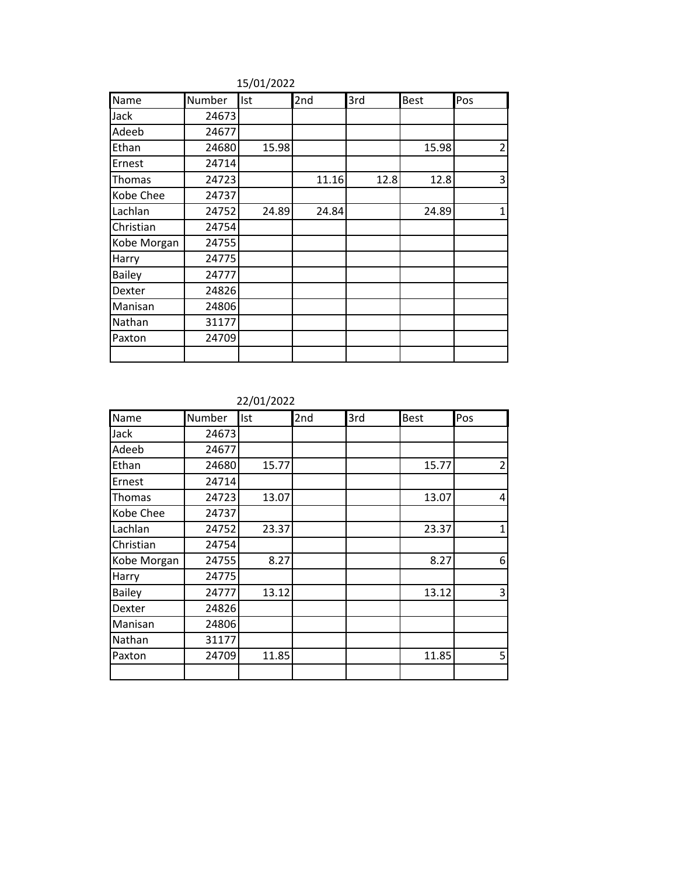| Name          | Number | Ist   | 2nd   | 3rd  | <b>Best</b> | Pos |
|---------------|--------|-------|-------|------|-------------|-----|
| Jack          | 24673  |       |       |      |             |     |
| Adeeb         | 24677  |       |       |      |             |     |
| Ethan         | 24680  | 15.98 |       |      | 15.98       | 2   |
| Ernest        | 24714  |       |       |      |             |     |
| Thomas        | 24723  |       | 11.16 | 12.8 | 12.8        | 3   |
| Kobe Chee     | 24737  |       |       |      |             |     |
| Lachlan       | 24752  | 24.89 | 24.84 |      | 24.89       | 1   |
| Christian     | 24754  |       |       |      |             |     |
| Kobe Morgan   | 24755  |       |       |      |             |     |
| Harry         | 24775  |       |       |      |             |     |
| <b>Bailey</b> | 24777  |       |       |      |             |     |
| Dexter        | 24826  |       |       |      |             |     |
| Manisan       | 24806  |       |       |      |             |     |
| Nathan        | 31177  |       |       |      |             |     |
| Paxton        | 24709  |       |       |      |             |     |
|               |        |       |       |      |             |     |

15/01/2022

22/01/2022

| Name          | Number | Ist   | 2nd | 3rd | <b>Best</b> | Pos            |
|---------------|--------|-------|-----|-----|-------------|----------------|
| Jack          | 24673  |       |     |     |             |                |
| Adeeb         | 24677  |       |     |     |             |                |
| Ethan         | 24680  | 15.77 |     |     | 15.77       | $\overline{2}$ |
| Ernest        | 24714  |       |     |     |             |                |
| Thomas        | 24723  | 13.07 |     |     | 13.07       | 4              |
| Kobe Chee     | 24737  |       |     |     |             |                |
| Lachlan       | 24752  | 23.37 |     |     | 23.37       | 1              |
| Christian     | 24754  |       |     |     |             |                |
| Kobe Morgan   | 24755  | 8.27  |     |     | 8.27        | 6              |
| Harry         | 24775  |       |     |     |             |                |
| <b>Bailey</b> | 24777  | 13.12 |     |     | 13.12       | 3              |
| Dexter        | 24826  |       |     |     |             |                |
| Manisan       | 24806  |       |     |     |             |                |
| Nathan        | 31177  |       |     |     |             |                |
| Paxton        | 24709  | 11.85 |     |     | 11.85       | 5              |
|               |        |       |     |     |             |                |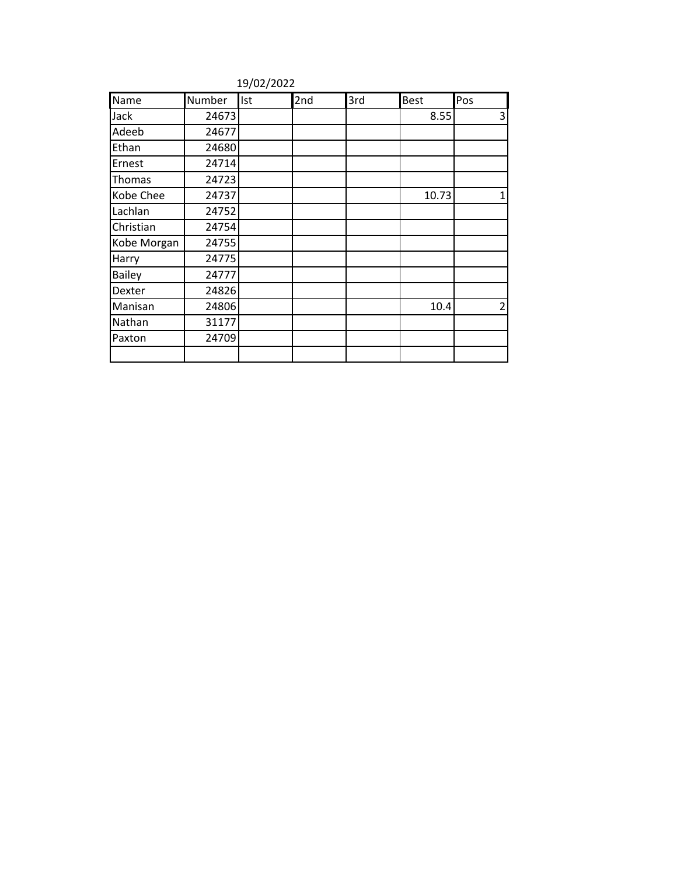| Name          | Number | Ist | 2nd | 3rd | <b>Best</b> | Pos            |
|---------------|--------|-----|-----|-----|-------------|----------------|
| Jack          | 24673  |     |     |     | 8.55        | 3              |
| Adeeb         | 24677  |     |     |     |             |                |
| Ethan         | 24680  |     |     |     |             |                |
| Ernest        | 24714  |     |     |     |             |                |
| Thomas        | 24723  |     |     |     |             |                |
| Kobe Chee     | 24737  |     |     |     | 10.73       | 1              |
| Lachlan       | 24752  |     |     |     |             |                |
| Christian     | 24754  |     |     |     |             |                |
| Kobe Morgan   | 24755  |     |     |     |             |                |
| Harry         | 24775  |     |     |     |             |                |
| <b>Bailey</b> | 24777  |     |     |     |             |                |
| Dexter        | 24826  |     |     |     |             |                |
| Manisan       | 24806  |     |     |     | 10.4        | $\overline{2}$ |
| Nathan        | 31177  |     |     |     |             |                |
| Paxton        | 24709  |     |     |     |             |                |
|               |        |     |     |     |             |                |

19/02/2022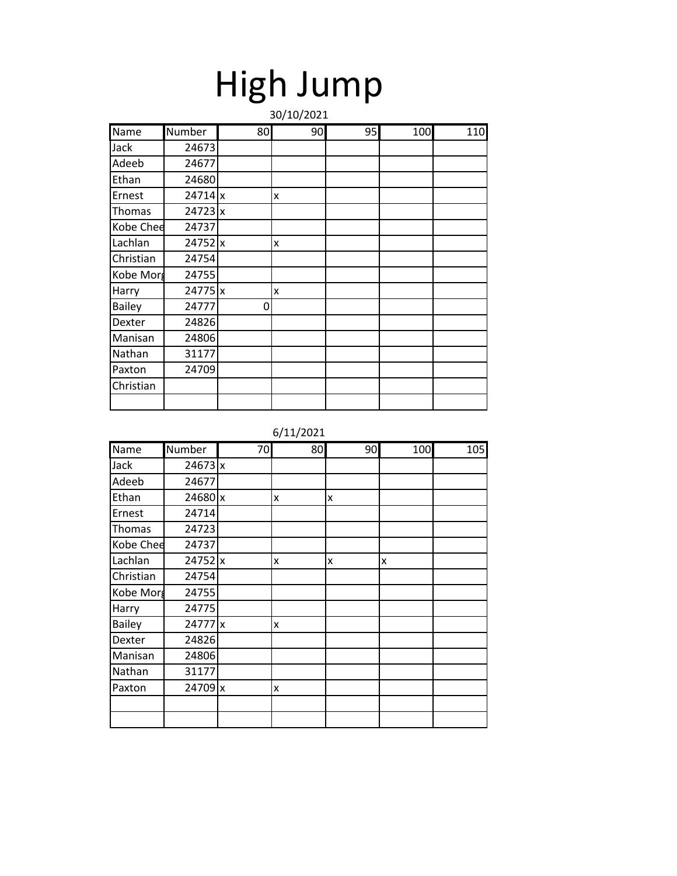| High Jump  |  |
|------------|--|
| 20/10/2021 |  |

|               |           |    | 30/10/2021 |    |     |     |
|---------------|-----------|----|------------|----|-----|-----|
| Name          | Number    | 80 | 90         | 95 | 100 | 110 |
| Jack          | 24673     |    |            |    |     |     |
| Adeeb         | 24677     |    |            |    |     |     |
| Ethan         | 24680     |    |            |    |     |     |
| Ernest        | 24714x    |    | X          |    |     |     |
| Thomas        | $24723$ x |    |            |    |     |     |
| Kobe Chee     | 24737     |    |            |    |     |     |
| Lachlan       | 24752 x   |    | X          |    |     |     |
| Christian     | 24754     |    |            |    |     |     |
| Kobe Morg     | 24755     |    |            |    |     |     |
| Harry         | 24775 x   |    | X          |    |     |     |
| <b>Bailey</b> | 24777     | 0  |            |    |     |     |
| Dexter        | 24826     |    |            |    |     |     |
| Manisan       | 24806     |    |            |    |     |     |
| Nathan        | 31177     |    |            |    |     |     |
| Paxton        | 24709     |    |            |    |     |     |
| Christian     |           |    |            |    |     |     |
|               |           |    |            |    |     |     |

| Name          | Number  | 70 | 80 | 90 | 100 | 105 |
|---------------|---------|----|----|----|-----|-----|
| Jack          | 24673x  |    |    |    |     |     |
| Adeeb         | 24677   |    |    |    |     |     |
| Ethan         | 24680 x |    | x  | X  |     |     |
| Ernest        | 24714   |    |    |    |     |     |
| Thomas        | 24723   |    |    |    |     |     |
| Kobe Chee     | 24737   |    |    |    |     |     |
| Lachlan       | 24752 x |    | x  | X  | x   |     |
| Christian     | 24754   |    |    |    |     |     |
| Kobe Morg     | 24755   |    |    |    |     |     |
| Harry         | 24775   |    |    |    |     |     |
| <b>Bailey</b> | 24777 x |    | x  |    |     |     |
| Dexter        | 24826   |    |    |    |     |     |
| Manisan       | 24806   |    |    |    |     |     |
| Nathan        | 31177   |    |    |    |     |     |
| Paxton        | 24709 x |    | X  |    |     |     |
|               |         |    |    |    |     |     |
|               |         |    |    |    |     |     |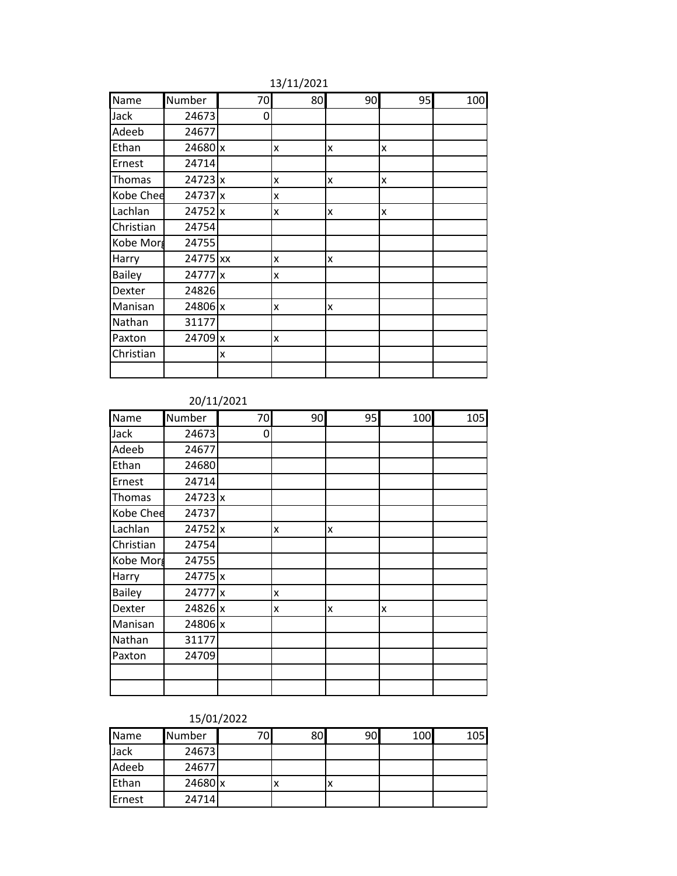| Name          | Number    | 70 | 80 | 90 | 95 | 100 |
|---------------|-----------|----|----|----|----|-----|
| Jack          | 24673     | 0  |    |    |    |     |
| Adeeb         | 24677     |    |    |    |    |     |
| Ethan         | 24680 x   |    | x  | x  | x  |     |
| Ernest        | 24714     |    |    |    |    |     |
| Thomas        | $24723$ x |    | x  | X  | x  |     |
| Kobe Chee     | 24737 x   |    | x  |    |    |     |
| Lachlan       | 24752 x   |    | x  | x  | x  |     |
| Christian     | 24754     |    |    |    |    |     |
| Kobe Morg     | 24755     |    |    |    |    |     |
| Harry         | 24775 xx  |    | X  | X  |    |     |
| <b>Bailey</b> | 24777 x   |    | x  |    |    |     |
| Dexter        | 24826     |    |    |    |    |     |
| Manisan       | 24806 x   |    | x  | x  |    |     |
| Nathan        | 31177     |    |    |    |    |     |
| Paxton        | 24709 x   |    | x  |    |    |     |
| Christian     |           | X  |    |    |    |     |
|               |           |    |    |    |    |     |

### 13/11/2021

### 20/11/2021

| Name      | Number    | 70 | 90 | 95 | 100 | 105 |
|-----------|-----------|----|----|----|-----|-----|
| Jack      | 24673     | 0  |    |    |     |     |
| Adeeb     | 24677     |    |    |    |     |     |
| Ethan     | 24680     |    |    |    |     |     |
| Ernest    | 24714     |    |    |    |     |     |
| Thomas    | $24723$ x |    |    |    |     |     |
| Kobe Chee | 24737     |    |    |    |     |     |
| Lachlan   | 24752 x   |    | x  | x  |     |     |
| Christian | 24754     |    |    |    |     |     |
| Kobe Morg | 24755     |    |    |    |     |     |
| Harry     | 24775 x   |    |    |    |     |     |
| Bailey    | 24777 x   |    | X  |    |     |     |
| Dexter    | 24826 x   |    | x  | x  | X   |     |
| Manisan   | 24806 x   |    |    |    |     |     |
| Nathan    | 31177     |    |    |    |     |     |
| Paxton    | 24709     |    |    |    |     |     |
|           |           |    |    |    |     |     |
|           |           |    |    |    |     |     |

#### 15/01/2022

| Name   | Number  | 70 | 80 | 90 | 100 | 105I |
|--------|---------|----|----|----|-----|------|
| Jack   | 24673   |    |    |    |     |      |
| Adeeb  | 24677   |    |    |    |     |      |
| Ethan  | 24680 x |    |    | л  |     |      |
| Ernest | 24714   |    |    |    |     |      |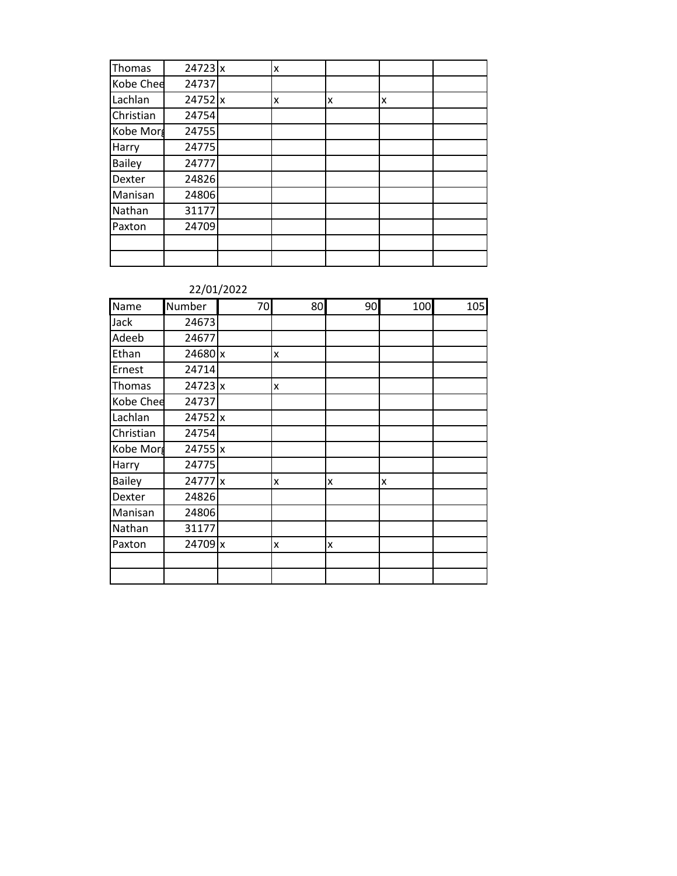| Thomas        | $24723$ x | X |   |   |  |
|---------------|-----------|---|---|---|--|
| Kobe Chee     | 24737     |   |   |   |  |
| Lachlan       | 24752 x   | x | x | x |  |
| Christian     | 24754     |   |   |   |  |
| Kobe Morg     | 24755     |   |   |   |  |
| Harry         | 24775     |   |   |   |  |
| <b>Bailey</b> | 24777     |   |   |   |  |
| Dexter        | 24826     |   |   |   |  |
| Manisan       | 24806     |   |   |   |  |
| Nathan        | 31177     |   |   |   |  |
| Paxton        | 24709     |   |   |   |  |
|               |           |   |   |   |  |
|               |           |   |   |   |  |

### 22/01/2022

| Name          | Number    | 70 | 80 | 90 | 100 | 105 |
|---------------|-----------|----|----|----|-----|-----|
| Jack          | 24673     |    |    |    |     |     |
| Adeeb         | 24677     |    |    |    |     |     |
| Ethan         | 24680 x   |    | x  |    |     |     |
| Ernest        | 24714     |    |    |    |     |     |
| Thomas        | $24723$ x |    | X  |    |     |     |
| Kobe Chee     | 24737     |    |    |    |     |     |
| Lachlan       | 24752 x   |    |    |    |     |     |
| Christian     | 24754     |    |    |    |     |     |
| Kobe Morg     | 24755 x   |    |    |    |     |     |
| Harry         | 24775     |    |    |    |     |     |
| <b>Bailey</b> | 24777 x   |    | x  | X  | x   |     |
| Dexter        | 24826     |    |    |    |     |     |
| Manisan       | 24806     |    |    |    |     |     |
| Nathan        | 31177     |    |    |    |     |     |
| Paxton        | 24709 x   |    | X  | X  |     |     |
|               |           |    |    |    |     |     |
|               |           |    |    |    |     |     |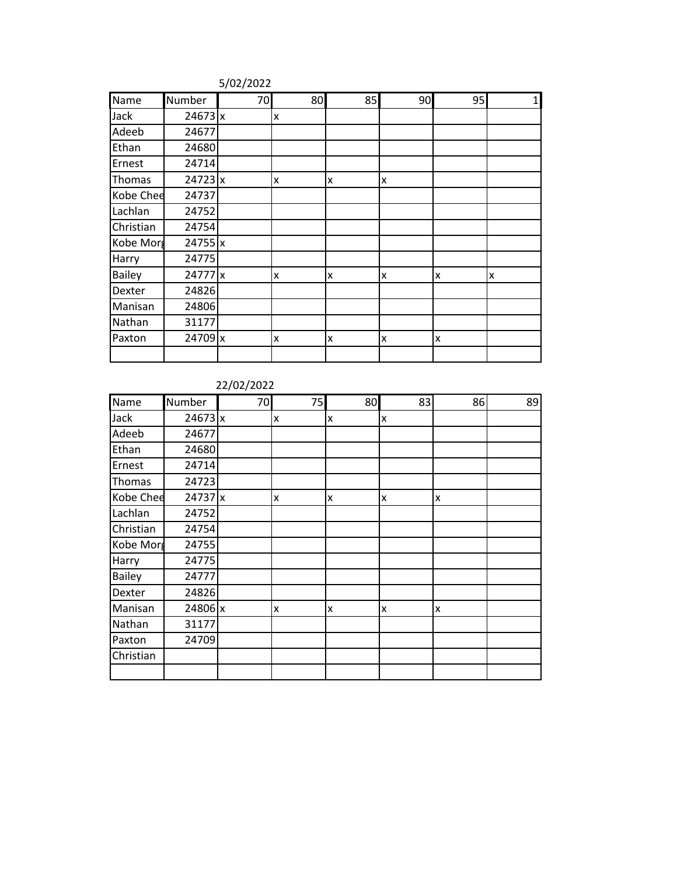| Name          | Number    | 70 | 80 | 85 | 90 | 95 | $1\vert$ |
|---------------|-----------|----|----|----|----|----|----------|
| Jack          | 24673x    |    | x  |    |    |    |          |
| Adeeb         | 24677     |    |    |    |    |    |          |
| Ethan         | 24680     |    |    |    |    |    |          |
| Ernest        | 24714     |    |    |    |    |    |          |
| Thomas        | $24723$ x |    | x  | x  | X  |    |          |
| Kobe Chee     | 24737     |    |    |    |    |    |          |
| Lachlan       | 24752     |    |    |    |    |    |          |
| Christian     | 24754     |    |    |    |    |    |          |
| Kobe Morg     | $24755$ x |    |    |    |    |    |          |
| Harry         | 24775     |    |    |    |    |    |          |
| <b>Bailey</b> | 24777 x   |    | X  | x  | X  | lχ | X        |
| Dexter        | 24826     |    |    |    |    |    |          |
| Manisan       | 24806     |    |    |    |    |    |          |
| Nathan        | 31177     |    |    |    |    |    |          |
| Paxton        | 24709 x   |    | x  | x  | X  | Ιx |          |
|               |           |    |    |    |    |    |          |

#### 5/02/2022

| Name          | Number    | 70 | 75 | 80 | 83 | 86 | 89 |
|---------------|-----------|----|----|----|----|----|----|
| Jack          | $24673$ x |    | x  | x  | X  |    |    |
| Adeeb         | 24677     |    |    |    |    |    |    |
| Ethan         | 24680     |    |    |    |    |    |    |
| Ernest        | 24714     |    |    |    |    |    |    |
| Thomas        | 24723     |    |    |    |    |    |    |
| Kobe Chee     | 24737 x   |    | X  | x  | x  | x  |    |
| Lachlan       | 24752     |    |    |    |    |    |    |
| Christian     | 24754     |    |    |    |    |    |    |
| Kobe Morg     | 24755     |    |    |    |    |    |    |
| Harry         | 24775     |    |    |    |    |    |    |
| <b>Bailey</b> | 24777     |    |    |    |    |    |    |
| Dexter        | 24826     |    |    |    |    |    |    |
| Manisan       | 24806 x   |    | X  | x  | x  | x  |    |
| Nathan        | 31177     |    |    |    |    |    |    |
| Paxton        | 24709     |    |    |    |    |    |    |
| Christian     |           |    |    |    |    |    |    |
|               |           |    |    |    |    |    |    |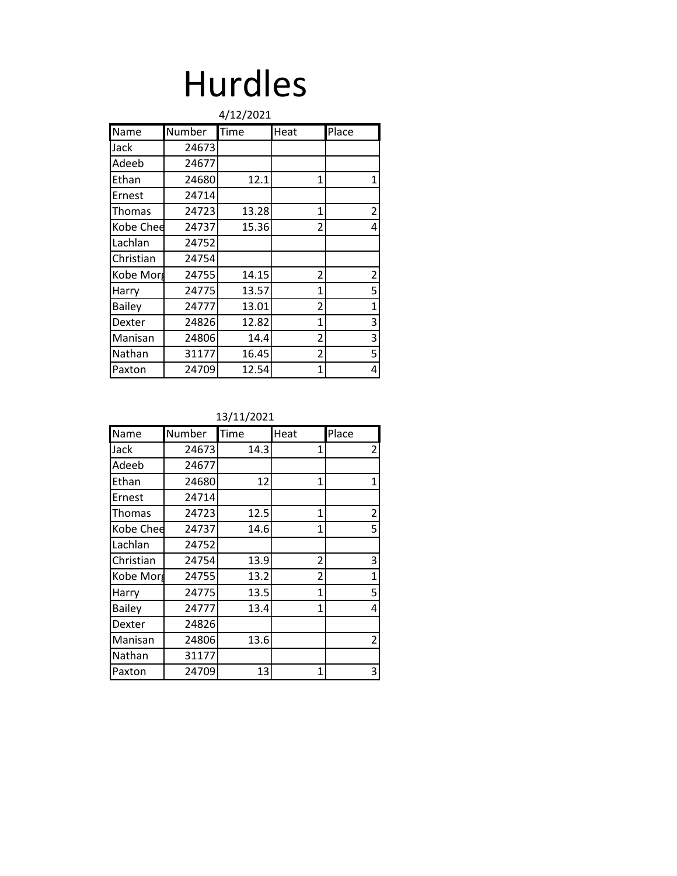### Hurdles

|               |        | 4/12/2021 |              |                |
|---------------|--------|-----------|--------------|----------------|
| Name          | Number | Time      | Heat         | Place          |
| Jack          | 24673  |           |              |                |
| Adeeb         | 24677  |           |              |                |
| Ethan         | 24680  | 12.1      | 1            | $\mathbf{1}$   |
| Ernest        | 24714  |           |              |                |
| Thomas        | 24723  | 13.28     | $\mathbf{1}$ | $\overline{2}$ |
| Kobe Chee     | 24737  | 15.36     | 2            | 4              |
| Lachlan       | 24752  |           |              |                |
| Christian     | 24754  |           |              |                |
| Kobe Morg     | 24755  | 14.15     | 2            | $\overline{2}$ |
| Harry         | 24775  | 13.57     | $\mathbf{1}$ | 5              |
| <b>Bailey</b> | 24777  | 13.01     | 2            | $\overline{1}$ |
| Dexter        | 24826  | 12.82     | $\mathbf{1}$ | 3              |
| Manisan       | 24806  | 14.4      | 2            | 3              |
| Nathan        | 31177  | 16.45     | 2            | 5              |
| Paxton        | 24709  | 12.54     | 1            | 4              |

| Name          | Number | Time | Heat           | Place          |
|---------------|--------|------|----------------|----------------|
| Jack          | 24673  | 14.3 | 1              | $\overline{2}$ |
| Adeeb         | 24677  |      |                |                |
| Ethan         | 24680  | 12   | 1              | $\mathbf{1}$   |
| Ernest        | 24714  |      |                |                |
| <b>Thomas</b> | 24723  | 12.5 | 1              | $\overline{2}$ |
| Kobe Chee     | 24737  | 14.6 | 1              | 5              |
| Lachlan       | 24752  |      |                |                |
| Christian     | 24754  | 13.9 | 2              | 3              |
| Kobe Morg     | 24755  | 13.2 | $\mathfrak{p}$ | 1              |
| Harry         | 24775  | 13.5 | 1              | 5              |
| <b>Bailey</b> | 24777  | 13.4 | 1              | 4              |
| Dexter        | 24826  |      |                |                |
| Manisan       | 24806  | 13.6 |                | 2              |
| Nathan        | 31177  |      |                |                |
| Paxton        | 24709  | 13   | 1              | 3              |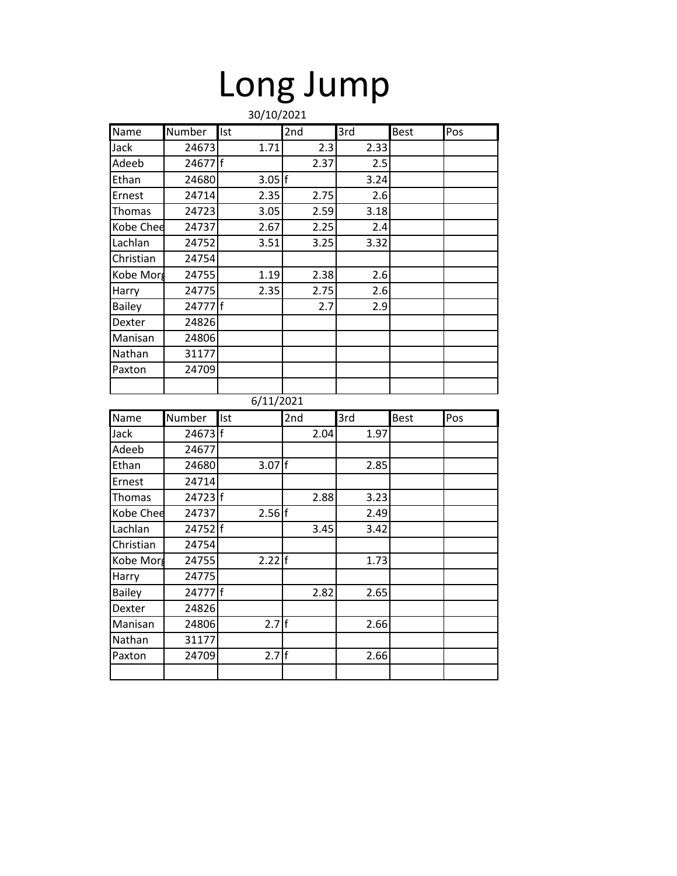# Long Jump

|                  |         |                | 30/10/2021 |                   |             |     |
|------------------|---------|----------------|------------|-------------------|-------------|-----|
| Name             | Number  | Ist            | 2nd        | $\overline{3}$ rd | <b>Best</b> | Pos |
| Jack             | 24673   | 1.71           | 2.3        | 2.33              |             |     |
| Adeeb            | 24677   |                | 2.37       | 2.5               |             |     |
| Ethan            | 24680   | $3.05 \vert f$ |            | 3.24              |             |     |
| Ernest           | 24714   | 2.35           | 2.75       | 2.6               |             |     |
| <b>Thomas</b>    | 24723   | 3.05           | 2.59       | 3.18              |             |     |
| Kobe Chee        | 24737   | 2.67           | 2.25       | 2.4               |             |     |
| Lachlan          | 24752   | 3.51           | 3.25       | 3.32              |             |     |
| Christian        | 24754   |                |            |                   |             |     |
| Kobe Morg        | 24755   | 1.19           | 2.38       | 2.6               |             |     |
| Harry            | 24775   | 2.35           | 2.75       | 2.6               |             |     |
| <b>Bailey</b>    | 24777   |                | 2.7        | 2.9               |             |     |
| Dexter           | 24826   |                |            |                   |             |     |
| Manisan          | 24806   |                |            |                   |             |     |
| Nathan           | 31177   |                |            |                   |             |     |
| Paxton           | 24709   |                |            |                   |             |     |
|                  |         |                |            |                   |             |     |
|                  |         | 6/11/2021      |            |                   |             |     |
| Name             |         |                |            |                   |             |     |
|                  | Number  | Ist            | 2nd        | 3rd               | <b>Best</b> | Pos |
| Jack             | 24673 f |                | 2.04       | 1.97              |             |     |
| Adeeb            | 24677   |                |            |                   |             |     |
| Ethan            | 24680   | $3.07$ f       |            | 2.85              |             |     |
| Ernest           | 24714   |                |            |                   |             |     |
| <b>Thomas</b>    | 24723 f |                | 2.88       | 3.23              |             |     |
| <b>Kobe Chee</b> | 24737   | 2.56           |            | 2.49              |             |     |
| Lachlan          | 24752 f |                | 3.45       | 3.42              |             |     |
| Christian        | 24754   |                |            |                   |             |     |
| Kobe Morg        | 24755   | $2.22$ f       |            | 1.73              |             |     |
| Harry            | 24775   |                |            |                   |             |     |
| <b>Bailey</b>    | 24777 f |                | 2.82       | 2.65              |             |     |
| Dexter           | 24826   |                |            |                   |             |     |
| Manisan          | 24806   | $2.7$ f        |            | 2.66              |             |     |
| Nathan           | 31177   |                |            |                   |             |     |
| Paxton           | 24709   | 2.7            |            | 2.66              |             |     |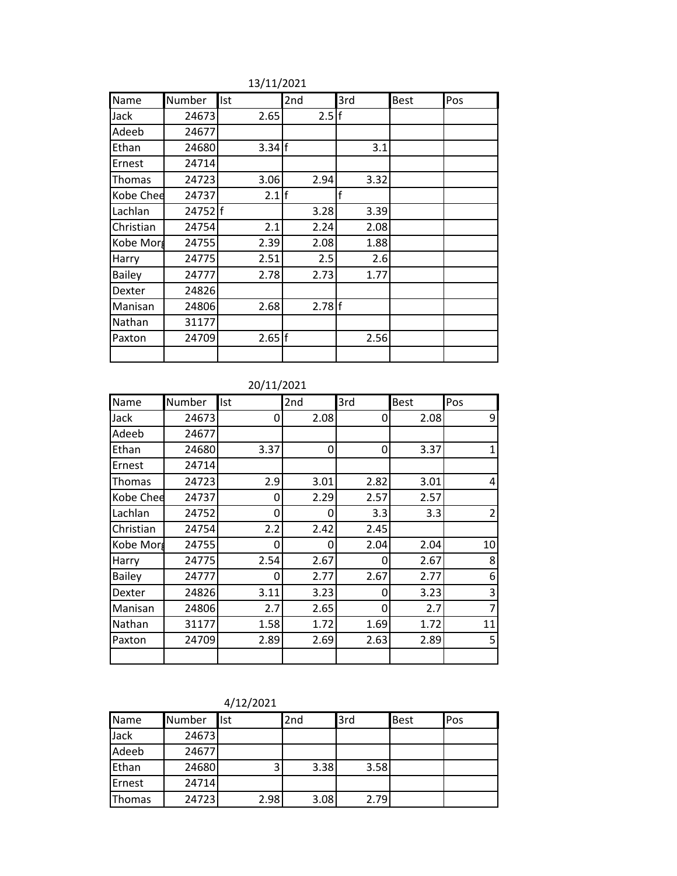| Name          | Number  | Ist      | 2nd  | 3rd  | <b>Best</b> | Pos |
|---------------|---------|----------|------|------|-------------|-----|
| Jack          | 24673   | 2.65     | 2.5  |      |             |     |
| Adeeb         | 24677   |          |      |      |             |     |
| Ethan         | 24680   | $3.34$ f |      | 3.1  |             |     |
| Ernest        | 24714   |          |      |      |             |     |
| Thomas        | 24723   | 3.06     | 2.94 | 3.32 |             |     |
| Kobe Chee     | 24737   | 2.1      |      | f    |             |     |
| Lachlan       | 24752 f |          | 3.28 | 3.39 |             |     |
| Christian     | 24754   | 2.1      | 2.24 | 2.08 |             |     |
| Kobe Morg     | 24755   | 2.39     | 2.08 | 1.88 |             |     |
| Harry         | 24775   | 2.51     | 2.5  | 2.6  |             |     |
| <b>Bailey</b> | 24777   | 2.78     | 2.73 | 1.77 |             |     |
| Dexter        | 24826   |          |      |      |             |     |
| Manisan       | 24806   | 2.68     | 2.78 |      |             |     |
| Nathan        | 31177   |          |      |      |             |     |
| Paxton        | 24709   | 2.65     |      | 2.56 |             |     |
|               |         |          |      |      |             |     |

### 13/11/2021

| Name          | Number | Ist  | 2nd  | 3rd      | Best | Pos            |
|---------------|--------|------|------|----------|------|----------------|
| Jack          | 24673  | 0    | 2.08 | 0        | 2.08 | 9              |
| Adeeb         | 24677  |      |      |          |      |                |
| Ethan         | 24680  | 3.37 | 0    | 0        | 3.37 | 1              |
| Ernest        | 24714  |      |      |          |      |                |
| Thomas        | 24723  | 2.9  | 3.01 | 2.82     | 3.01 | 4              |
| Kobe Chee     | 24737  | 0    | 2.29 | 2.57     | 2.57 |                |
| Lachlan       | 24752  | 0    | 0    | 3.3      | 3.3  | $\overline{2}$ |
| Christian     | 24754  | 2.2  | 2.42 | 2.45     |      |                |
| Kobe Morg     | 24755  | 0    | 0    | 2.04     | 2.04 | 10             |
| Harry         | 24775  | 2.54 | 2.67 | $\Omega$ | 2.67 | 8              |
| <b>Bailey</b> | 24777  | 0    | 2.77 | 2.67     | 2.77 | 6              |
| Dexter        | 24826  | 3.11 | 3.23 | 0        | 3.23 | 3              |
| Manisan       | 24806  | 2.7  | 2.65 | 0        | 2.7  | 7              |
| Nathan        | 31177  | 1.58 | 1.72 | 1.69     | 1.72 | 11             |
| Paxton        | 24709  | 2.89 | 2.69 | 2.63     | 2.89 | 5              |
|               |        |      |      |          |      |                |

| 4/12/2021 |  |
|-----------|--|
|-----------|--|

| Name   | Number | <b>Ist</b> | 2nd  | 3rd  | <b>Best</b> | Pos |
|--------|--------|------------|------|------|-------------|-----|
| Jack   | 24673  |            |      |      |             |     |
| Adeeb  | 24677  |            |      |      |             |     |
| Ethan  | 24680  | 3          | 3.38 | 3.58 |             |     |
| Ernest | 24714  |            |      |      |             |     |
| Thomas | 24723  | 2.98       | 3.08 | 2.79 |             |     |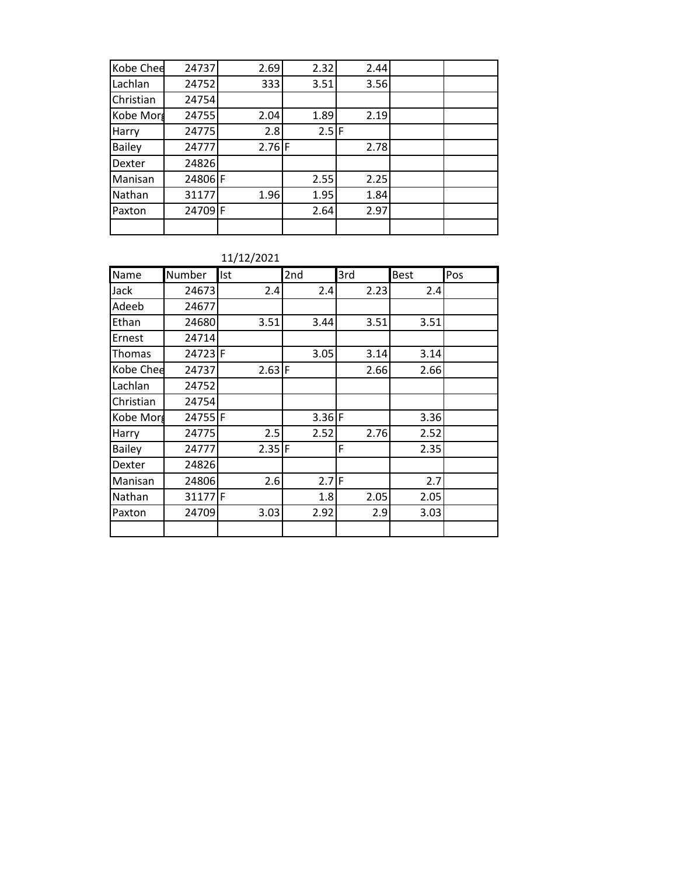| Kobe Chee     | 24737   | 2.69     | 2.32    | 2.44 |  |
|---------------|---------|----------|---------|------|--|
| Lachlan       | 24752   | 333      | 3.51    | 3.56 |  |
| Christian     | 24754   |          |         |      |  |
| Kobe Morg     | 24755   | 2.04     | 1.89    | 2.19 |  |
| Harry         | 24775   | 2.8      | $2.5$ F |      |  |
| <b>Bailey</b> | 24777   | $2.76$ F |         | 2.78 |  |
| Dexter        | 24826   |          |         |      |  |
| Manisan       | 24806 F |          | 2.55    | 2.25 |  |
| Nathan        | 31177   | 1.96     | 1.95    | 1.84 |  |
| Paxton        | 24709 F |          | 2.64    | 2.97 |  |
|               |         |          |         |      |  |

### 11/12/2021

| Name          | Number  | Ist                 | 2nd      | 3rd  | <b>Best</b> | Pos |
|---------------|---------|---------------------|----------|------|-------------|-----|
| Jack          | 24673   | 2.4                 | 2.4      | 2.23 | 2.4         |     |
| Adeeb         | 24677   |                     |          |      |             |     |
| Ethan         | 24680   | 3.51                | 3.44     | 3.51 | 3.51        |     |
| Ernest        | 24714   |                     |          |      |             |     |
| Thomas        | 24723 F |                     | 3.05     | 3.14 | 3.14        |     |
| Kobe Chee     | 24737   | $2.63$ F            |          | 2.66 | 2.66        |     |
| Lachlan       | 24752   |                     |          |      |             |     |
| Christian     | 24754   |                     |          |      |             |     |
| Kobe Morg     | 24755F  |                     | $3.36$ F |      | 3.36        |     |
| Harry         | 24775   | 2.5                 | 2.52     | 2.76 | 2.52        |     |
| <b>Bailey</b> | 24777   | $2.35$ <sup>F</sup> |          | F    | 2.35        |     |
| Dexter        | 24826   |                     |          |      |             |     |
| Manisan       | 24806   | 2.6                 | $2.7$ F  |      | 2.7         |     |
| Nathan        | 31177F  |                     | 1.8      | 2.05 | 2.05        |     |
| Paxton        | 24709   | 3.03                | 2.92     | 2.9  | 3.03        |     |
|               |         |                     |          |      |             |     |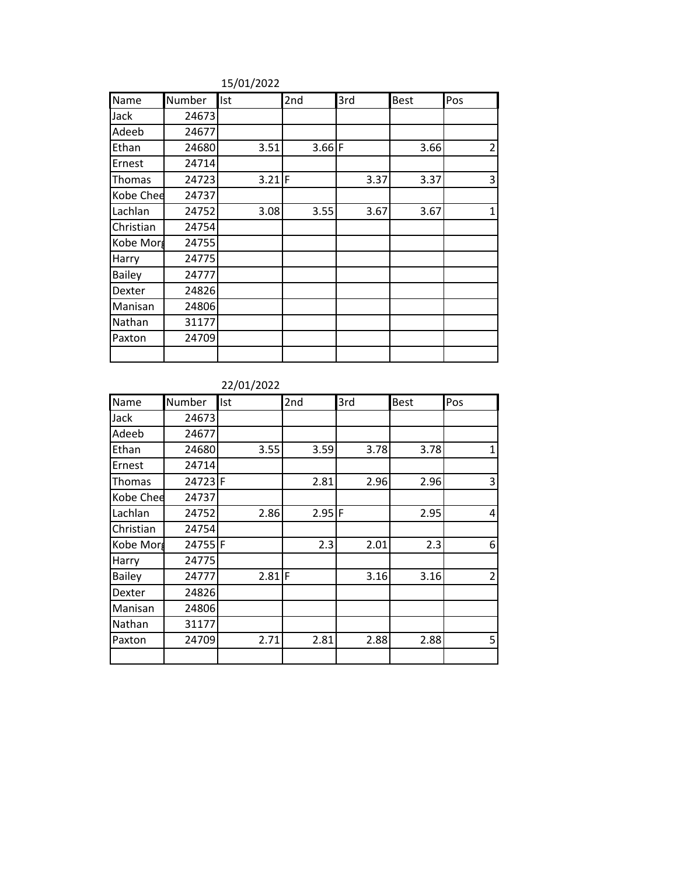| Name          | Number | Ist      | 2nd      | 3rd  | <b>Best</b> | Pos         |
|---------------|--------|----------|----------|------|-------------|-------------|
| Jack          | 24673  |          |          |      |             |             |
| Adeeb         | 24677  |          |          |      |             |             |
| Ethan         | 24680  | 3.51     | $3.66$ F |      | 3.66        | 2           |
| Ernest        | 24714  |          |          |      |             |             |
| Thomas        | 24723  | $3.21$ F |          | 3.37 | 3.37        | 3           |
| Kobe Chee     | 24737  |          |          |      |             |             |
| Lachlan       | 24752  | 3.08     | 3.55     | 3.67 | 3.67        | $\mathbf 1$ |
| Christian     | 24754  |          |          |      |             |             |
| Kobe Morg     | 24755  |          |          |      |             |             |
| Harry         | 24775  |          |          |      |             |             |
| <b>Bailey</b> | 24777  |          |          |      |             |             |
| Dexter        | 24826  |          |          |      |             |             |
| Manisan       | 24806  |          |          |      |             |             |
| Nathan        | 31177  |          |          |      |             |             |
| Paxton        | 24709  |          |          |      |             |             |
|               |        |          |          |      |             |             |

### 15/01/2022

### 22/01/2022

| Name          | Number  | Ist  | 2nd      | 3rd  | <b>Best</b> | Pos            |
|---------------|---------|------|----------|------|-------------|----------------|
| Jack          | 24673   |      |          |      |             |                |
| Adeeb         | 24677   |      |          |      |             |                |
| Ethan         | 24680   | 3.55 | 3.59     | 3.78 | 3.78        |                |
| Ernest        | 24714   |      |          |      |             |                |
| Thomas        | 24723F  |      | 2.81     | 2.96 | 2.96        | 3              |
| Kobe Chee     | 24737   |      |          |      |             |                |
| Lachlan       | 24752   | 2.86 | $2.95$ F |      | 2.95        | $\overline{4}$ |
| Christian     | 24754   |      |          |      |             |                |
| Kobe Morg     | 24755 F |      | 2.3      | 2.01 | 2.3         | 6              |
| Harry         | 24775   |      |          |      |             |                |
| <b>Bailey</b> | 24777   | 2.81 | F        | 3.16 | 3.16        | $\overline{2}$ |
| Dexter        | 24826   |      |          |      |             |                |
| Manisan       | 24806   |      |          |      |             |                |
| Nathan        | 31177   |      |          |      |             |                |
| Paxton        | 24709   | 2.71 | 2.81     | 2.88 | 2.88        | 5              |
|               |         |      |          |      |             |                |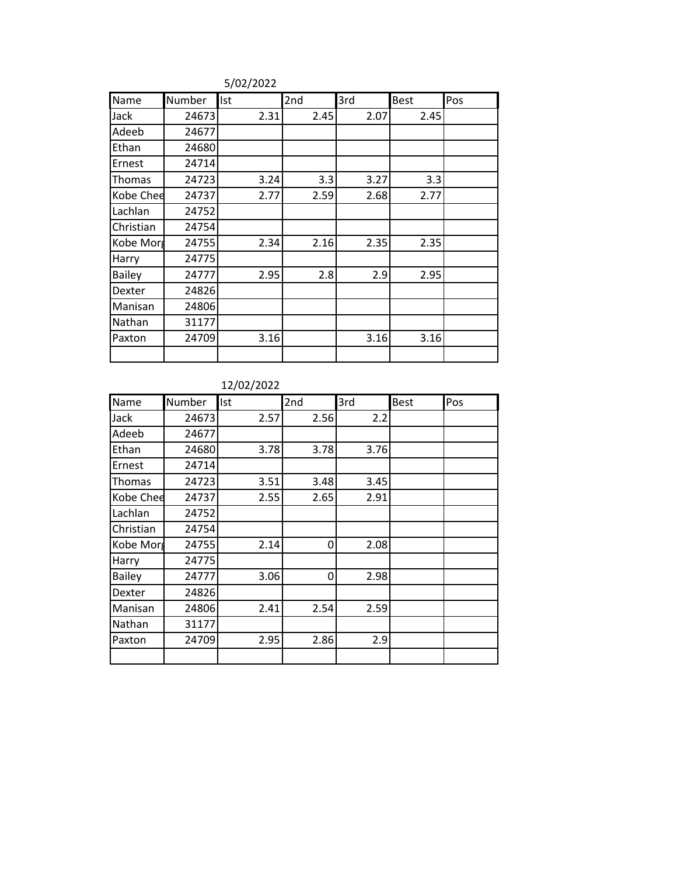| Name          | Number | Ist  | 2nd  | 3rd  | <b>Best</b> | Pos |
|---------------|--------|------|------|------|-------------|-----|
| Jack          | 24673  | 2.31 | 2.45 | 2.07 | 2.45        |     |
| Adeeb         | 24677  |      |      |      |             |     |
| Ethan         | 24680  |      |      |      |             |     |
| Ernest        | 24714  |      |      |      |             |     |
| Thomas        | 24723  | 3.24 | 3.3  | 3.27 | 3.3         |     |
| Kobe Chee     | 24737  | 2.77 | 2.59 | 2.68 | 2.77        |     |
| Lachlan       | 24752  |      |      |      |             |     |
| Christian     | 24754  |      |      |      |             |     |
| Kobe Morg     | 24755  | 2.34 | 2.16 | 2.35 | 2.35        |     |
| Harry         | 24775  |      |      |      |             |     |
| <b>Bailey</b> | 24777  | 2.95 | 2.8  | 2.9  | 2.95        |     |
| Dexter        | 24826  |      |      |      |             |     |
| Manisan       | 24806  |      |      |      |             |     |
| Nathan        | 31177  |      |      |      |             |     |
| Paxton        | 24709  | 3.16 |      | 3.16 | 3.16        |     |
|               |        |      |      |      |             |     |

5/02/2022

| Name          | Number | Ist  | 2nd  | 3rd  | <b>Best</b> | Pos |
|---------------|--------|------|------|------|-------------|-----|
| Jack          | 24673  | 2.57 | 2.56 | 2.2  |             |     |
| Adeeb         | 24677  |      |      |      |             |     |
| Ethan         | 24680  | 3.78 | 3.78 | 3.76 |             |     |
| Ernest        | 24714  |      |      |      |             |     |
| Thomas        | 24723  | 3.51 | 3.48 | 3.45 |             |     |
| Kobe Chee     | 24737  | 2.55 | 2.65 | 2.91 |             |     |
| Lachlan       | 24752  |      |      |      |             |     |
| Christian     | 24754  |      |      |      |             |     |
| Kobe Morg     | 24755  | 2.14 | 0    | 2.08 |             |     |
| Harry         | 24775  |      |      |      |             |     |
| <b>Bailey</b> | 24777  | 3.06 | 0    | 2.98 |             |     |
| Dexter        | 24826  |      |      |      |             |     |
| Manisan       | 24806  | 2.41 | 2.54 | 2.59 |             |     |
| Nathan        | 31177  |      |      |      |             |     |
| Paxton        | 24709  | 2.95 | 2.86 | 2.9  |             |     |
|               |        |      |      |      |             |     |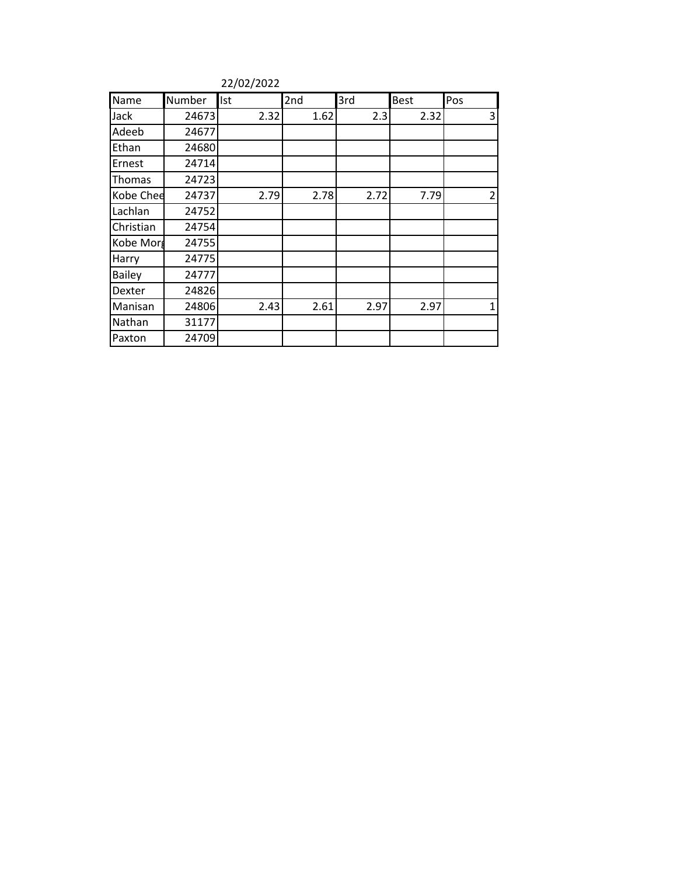|               |        | 22/02/2022 |      |      |             |     |
|---------------|--------|------------|------|------|-------------|-----|
| Name          | Number | Ist        | 2nd  | 3rd  | <b>Best</b> | Pos |
| Jack          | 24673  | 2.32       | 1.62 | 2.3  | 2.32        | 3   |
| Adeeb         | 24677  |            |      |      |             |     |
| Ethan         | 24680  |            |      |      |             |     |
| Ernest        | 24714  |            |      |      |             |     |
| Thomas        | 24723  |            |      |      |             |     |
| Kobe Chee     | 24737  | 2.79       | 2.78 | 2.72 | 7.79        | 2   |
| Lachlan       | 24752  |            |      |      |             |     |
| Christian     | 24754  |            |      |      |             |     |
| Kobe Morg     | 24755  |            |      |      |             |     |
| Harry         | 24775  |            |      |      |             |     |
| <b>Bailey</b> | 24777  |            |      |      |             |     |
| Dexter        | 24826  |            |      |      |             |     |
| Manisan       | 24806  | 2.43       | 2.61 | 2.97 | 2.97        | 1   |
| Nathan        | 31177  |            |      |      |             |     |
| Paxton        | 24709  |            |      |      |             |     |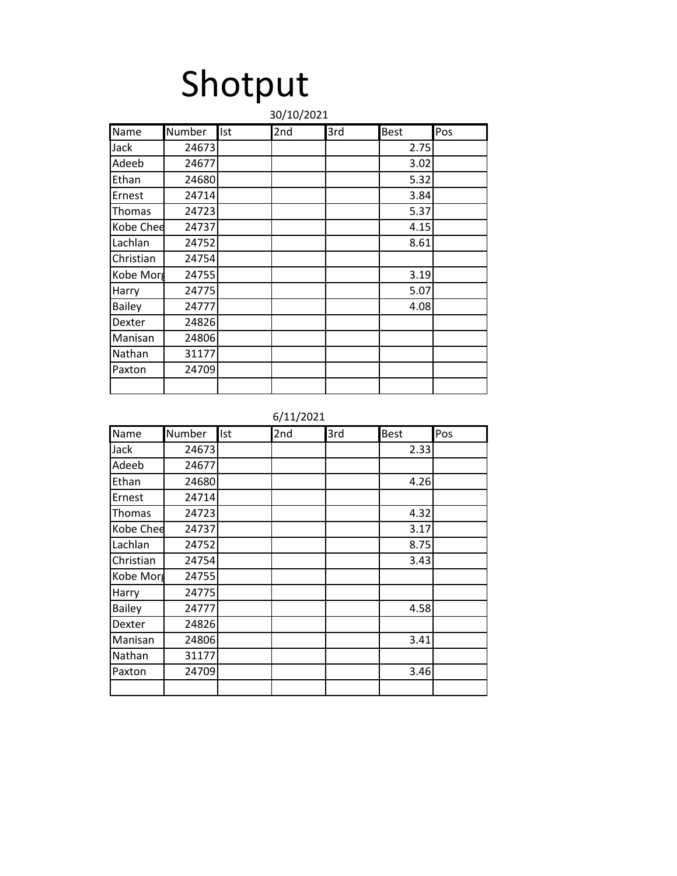# Shotput

|               | 30/10/2021 |            |     |     |             |     |  |
|---------------|------------|------------|-----|-----|-------------|-----|--|
| Name          | Number     | <b>Ist</b> | 2nd | 3rd | <b>Best</b> | Pos |  |
| Jack          | 24673      |            |     |     | 2.75        |     |  |
| Adeeb         | 24677      |            |     |     | 3.02        |     |  |
| Ethan         | 24680      |            |     |     | 5.32        |     |  |
| Ernest        | 24714      |            |     |     | 3.84        |     |  |
| Thomas        | 24723      |            |     |     | 5.37        |     |  |
| Kobe Chee     | 24737      |            |     |     | 4.15        |     |  |
| Lachlan       | 24752      |            |     |     | 8.61        |     |  |
| Christian     | 24754      |            |     |     |             |     |  |
| Kobe Morg     | 24755      |            |     |     | 3.19        |     |  |
| Harry         | 24775      |            |     |     | 5.07        |     |  |
| <b>Bailey</b> | 24777      |            |     |     | 4.08        |     |  |
| Dexter        | 24826      |            |     |     |             |     |  |
| Manisan       | 24806      |            |     |     |             |     |  |
| Nathan        | 31177      |            |     |     |             |     |  |
| Paxton        | 24709      |            |     |     |             |     |  |
|               |            |            |     |     |             |     |  |

6/11/2021

| Name          | Number | Ist | 2nd | 3rd | <b>Best</b> | Pos |
|---------------|--------|-----|-----|-----|-------------|-----|
| Jack          | 24673  |     |     |     | 2.33        |     |
| Adeeb         | 24677  |     |     |     |             |     |
| Ethan         | 24680  |     |     |     | 4.26        |     |
| Ernest        | 24714  |     |     |     |             |     |
| Thomas        | 24723  |     |     |     | 4.32        |     |
| Kobe Chee     | 24737  |     |     |     | 3.17        |     |
| Lachlan       | 24752  |     |     |     | 8.75        |     |
| Christian     | 24754  |     |     |     | 3.43        |     |
| Kobe Morg     | 24755  |     |     |     |             |     |
| Harry         | 24775  |     |     |     |             |     |
| <b>Bailey</b> | 24777  |     |     |     | 4.58        |     |
| Dexter        | 24826  |     |     |     |             |     |
| Manisan       | 24806  |     |     |     | 3.41        |     |
| Nathan        | 31177  |     |     |     |             |     |
| Paxton        | 24709  |     |     |     | 3.46        |     |
|               |        |     |     |     |             |     |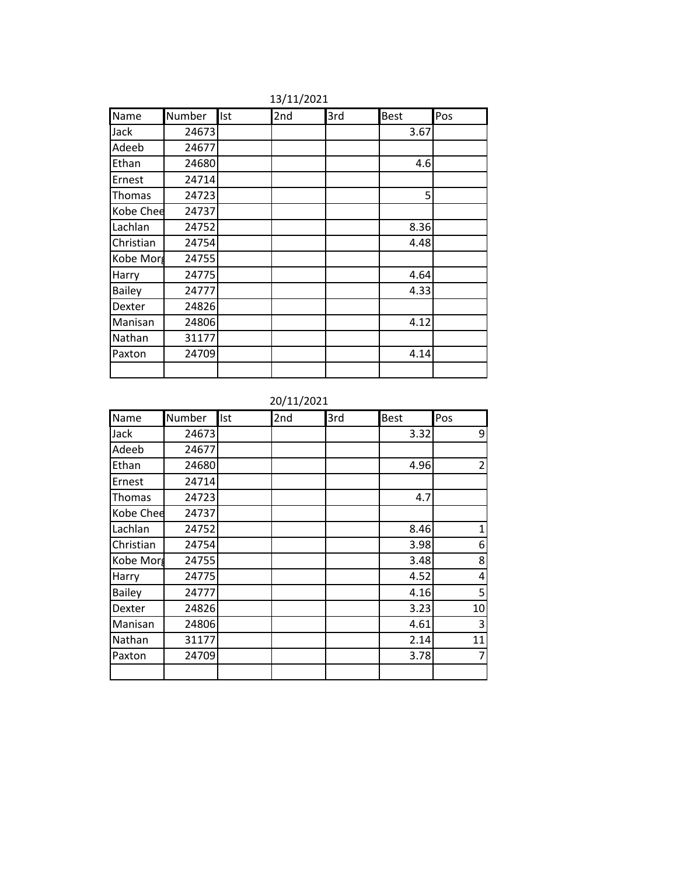| Name          | Number | Ist | 2nd | 3rd | <b>Best</b>    | Pos |
|---------------|--------|-----|-----|-----|----------------|-----|
| Jack          | 24673  |     |     |     | 3.67           |     |
| Adeeb         | 24677  |     |     |     |                |     |
| Ethan         | 24680  |     |     |     | 4.6            |     |
| Ernest        | 24714  |     |     |     |                |     |
| Thomas        | 24723  |     |     |     | 5 <sup>1</sup> |     |
| Kobe Chee     | 24737  |     |     |     |                |     |
| Lachlan       | 24752  |     |     |     | 8.36           |     |
| Christian     | 24754  |     |     |     | 4.48           |     |
| Kobe Morg     | 24755  |     |     |     |                |     |
| Harry         | 24775  |     |     |     | 4.64           |     |
| <b>Bailey</b> | 24777  |     |     |     | 4.33           |     |
| Dexter        | 24826  |     |     |     |                |     |
| Manisan       | 24806  |     |     |     | 4.12           |     |
| Nathan        | 31177  |     |     |     |                |     |
| Paxton        | 24709  |     |     |     | 4.14           |     |
|               |        |     |     |     |                |     |

13/11/2021

20/11/2021

| Name          | Number | Ist | 2nd | 3rd | <b>Best</b> | Pos            |
|---------------|--------|-----|-----|-----|-------------|----------------|
| Jack          | 24673  |     |     |     | 3.32        | 9              |
| Adeeb         | 24677  |     |     |     |             |                |
| Ethan         | 24680  |     |     |     | 4.96        | $\overline{2}$ |
| Ernest        | 24714  |     |     |     |             |                |
| Thomas        | 24723  |     |     |     | 4.7         |                |
| Kobe Chee     | 24737  |     |     |     |             |                |
| Lachlan       | 24752  |     |     |     | 8.46        | 1              |
| Christian     | 24754  |     |     |     | 3.98        | 6              |
| Kobe Morg     | 24755  |     |     |     | 3.48        | 8              |
| Harry         | 24775  |     |     |     | 4.52        | 4              |
| <b>Bailey</b> | 24777  |     |     |     | 4.16        | 5              |
| Dexter        | 24826  |     |     |     | 3.23        | 10             |
| Manisan       | 24806  |     |     |     | 4.61        | 3              |
| Nathan        | 31177  |     |     |     | 2.14        | 11             |
| Paxton        | 24709  |     |     |     | 3.78        | 7              |
|               |        |     |     |     |             |                |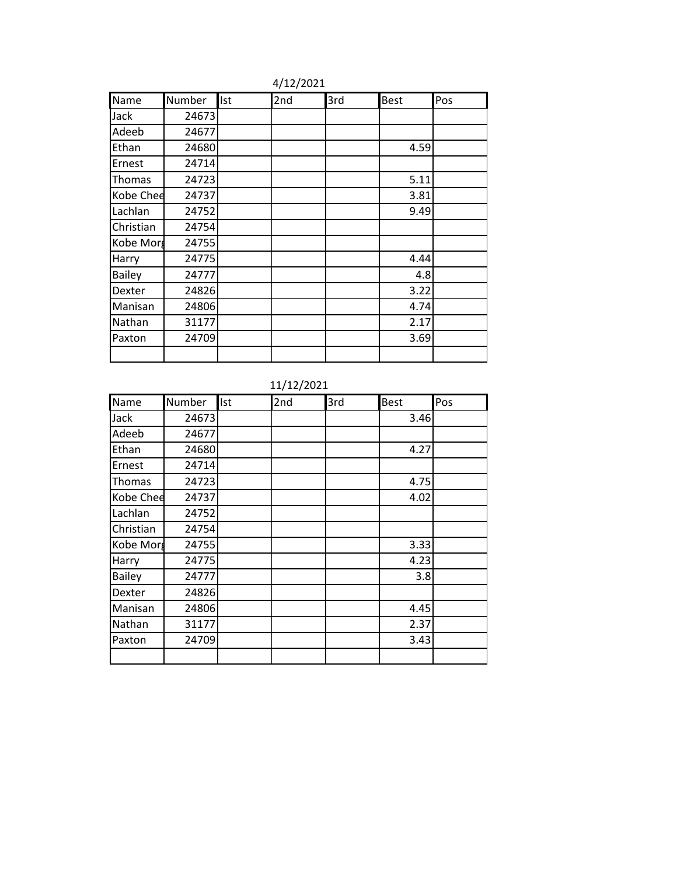| Name          | Number | Ist | 2nd | 3rd | <b>Best</b> | Pos |
|---------------|--------|-----|-----|-----|-------------|-----|
| Jack          | 24673  |     |     |     |             |     |
| Adeeb         | 24677  |     |     |     |             |     |
| Ethan         | 24680  |     |     |     | 4.59        |     |
| Ernest        | 24714  |     |     |     |             |     |
| Thomas        | 24723  |     |     |     | 5.11        |     |
| Kobe Chee     | 24737  |     |     |     | 3.81        |     |
| Lachlan       | 24752  |     |     |     | 9.49        |     |
| Christian     | 24754  |     |     |     |             |     |
| Kobe Morg     | 24755  |     |     |     |             |     |
| Harry         | 24775  |     |     |     | 4.44        |     |
| <b>Bailey</b> | 24777  |     |     |     | 4.8         |     |
| Dexter        | 24826  |     |     |     | 3.22        |     |
| Manisan       | 24806  |     |     |     | 4.74        |     |
| Nathan        | 31177  |     |     |     | 2.17        |     |
| Paxton        | 24709  |     |     |     | 3.69        |     |
|               |        |     |     |     |             |     |

4/12/2021

### 11/12/2021

| Name          | Number | Ist | 2nd | 3rd | <b>Best</b> | Pos |
|---------------|--------|-----|-----|-----|-------------|-----|
| Jack          | 24673  |     |     |     | 3.46        |     |
| Adeeb         | 24677  |     |     |     |             |     |
| Ethan         | 24680  |     |     |     | 4.27        |     |
| Ernest        | 24714  |     |     |     |             |     |
| Thomas        | 24723  |     |     |     | 4.75        |     |
| Kobe Chee     | 24737  |     |     |     | 4.02        |     |
| Lachlan       | 24752  |     |     |     |             |     |
| Christian     | 24754  |     |     |     |             |     |
| Kobe Morg     | 24755  |     |     |     | 3.33        |     |
| Harry         | 24775  |     |     |     | 4.23        |     |
| <b>Bailey</b> | 24777  |     |     |     | 3.8         |     |
| Dexter        | 24826  |     |     |     |             |     |
| Manisan       | 24806  |     |     |     | 4.45        |     |
| Nathan        | 31177  |     |     |     | 2.37        |     |
| Paxton        | 24709  |     |     |     | 3.43        |     |
|               |        |     |     |     |             |     |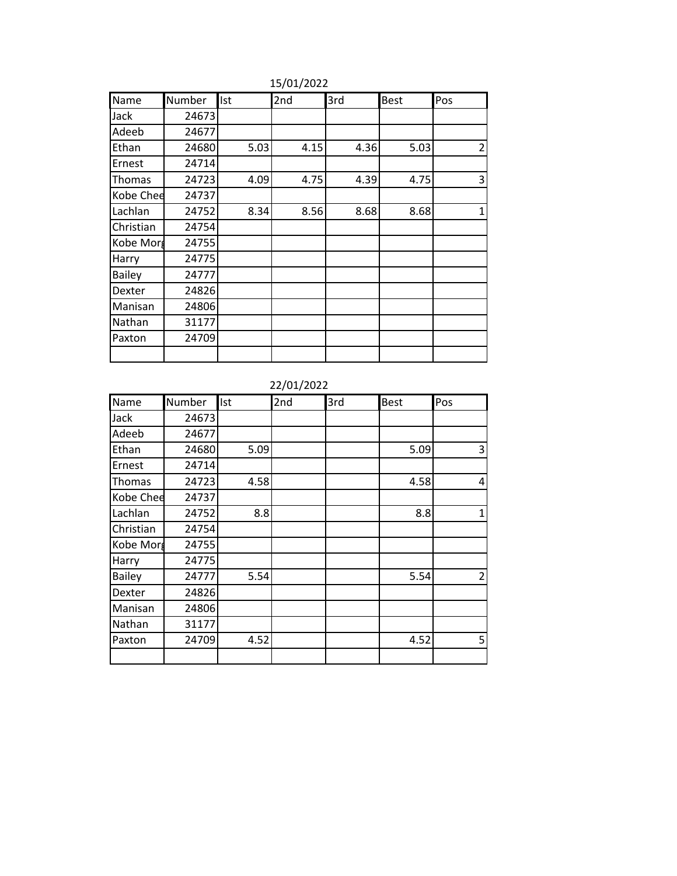| Name          | Number | Ist  | 2nd  | 3rd  | <b>Best</b> | Pos            |
|---------------|--------|------|------|------|-------------|----------------|
| Jack          | 24673  |      |      |      |             |                |
| Adeeb         | 24677  |      |      |      |             |                |
| Ethan         | 24680  | 5.03 | 4.15 | 4.36 | 5.03        | $\overline{2}$ |
| Ernest        | 24714  |      |      |      |             |                |
| Thomas        | 24723  | 4.09 | 4.75 | 4.39 | 4.75        | 3              |
| Kobe Chee     | 24737  |      |      |      |             |                |
| Lachlan       | 24752  | 8.34 | 8.56 | 8.68 | 8.68        | 1              |
| Christian     | 24754  |      |      |      |             |                |
| Kobe Morg     | 24755  |      |      |      |             |                |
| Harry         | 24775  |      |      |      |             |                |
| <b>Bailey</b> | 24777  |      |      |      |             |                |
| Dexter        | 24826  |      |      |      |             |                |
| Manisan       | 24806  |      |      |      |             |                |
| Nathan        | 31177  |      |      |      |             |                |
| Paxton        | 24709  |      |      |      |             |                |
|               |        |      |      |      |             |                |

15/01/2022

### 22/01/2022

| Name          | Number | Ist  | 2nd | 3rd | <b>Best</b> | Pos            |
|---------------|--------|------|-----|-----|-------------|----------------|
| Jack          | 24673  |      |     |     |             |                |
| Adeeb         | 24677  |      |     |     |             |                |
| Ethan         | 24680  | 5.09 |     |     | 5.09        | 3              |
| Ernest        | 24714  |      |     |     |             |                |
| Thomas        | 24723  | 4.58 |     |     | 4.58        | 4              |
| Kobe Chee     | 24737  |      |     |     |             |                |
| Lachlan       | 24752  | 8.8  |     |     | 8.8         | 1              |
| Christian     | 24754  |      |     |     |             |                |
| Kobe Morg     | 24755  |      |     |     |             |                |
| Harry         | 24775  |      |     |     |             |                |
| <b>Bailey</b> | 24777  | 5.54 |     |     | 5.54        | $\overline{2}$ |
| Dexter        | 24826  |      |     |     |             |                |
| Manisan       | 24806  |      |     |     |             |                |
| Nathan        | 31177  |      |     |     |             |                |
| Paxton        | 24709  | 4.52 |     |     | 4.52        | 5              |
|               |        |      |     |     |             |                |